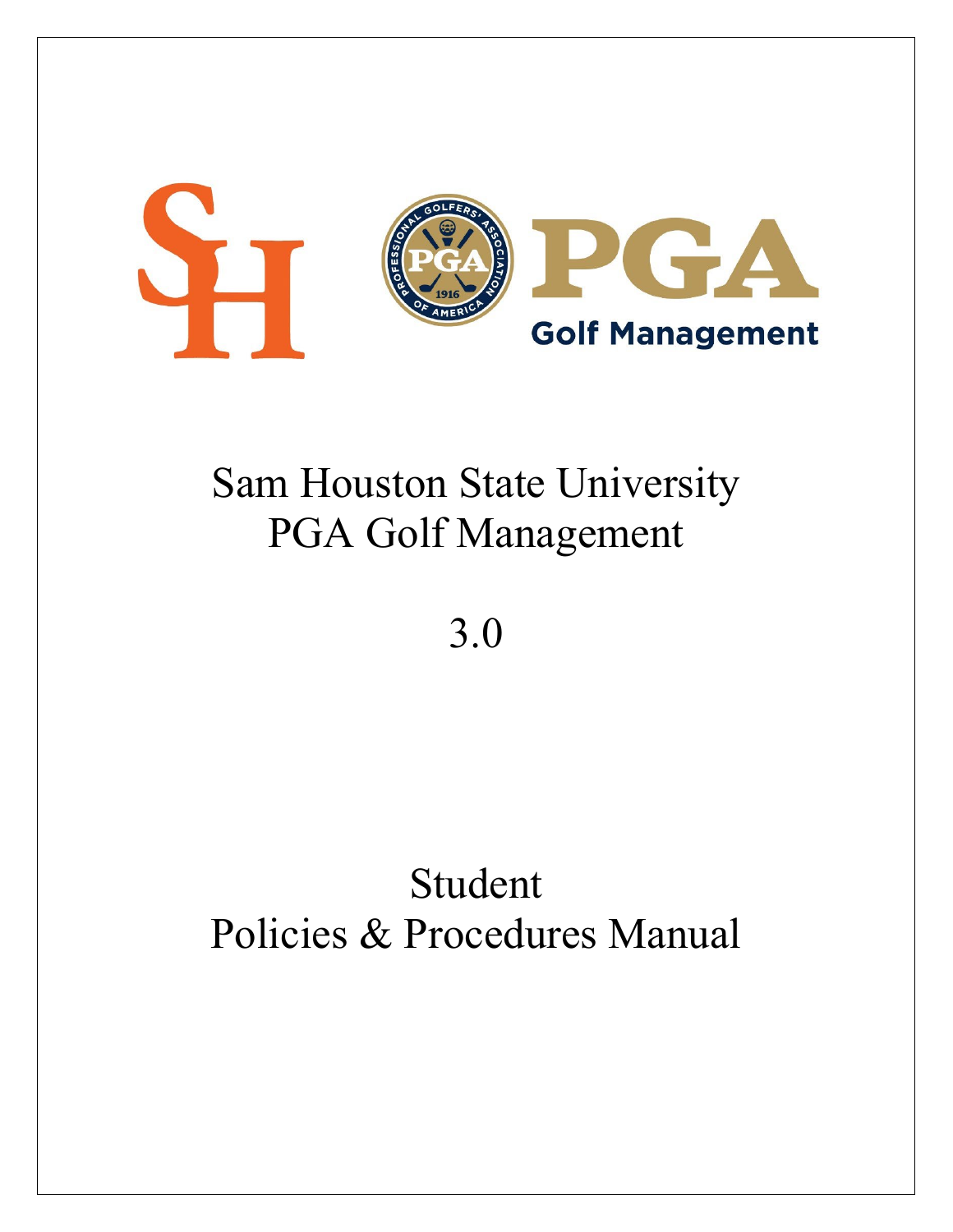

# Sam Houston State University PGA Golf Management

3.0

# Student Policies & Procedures Manual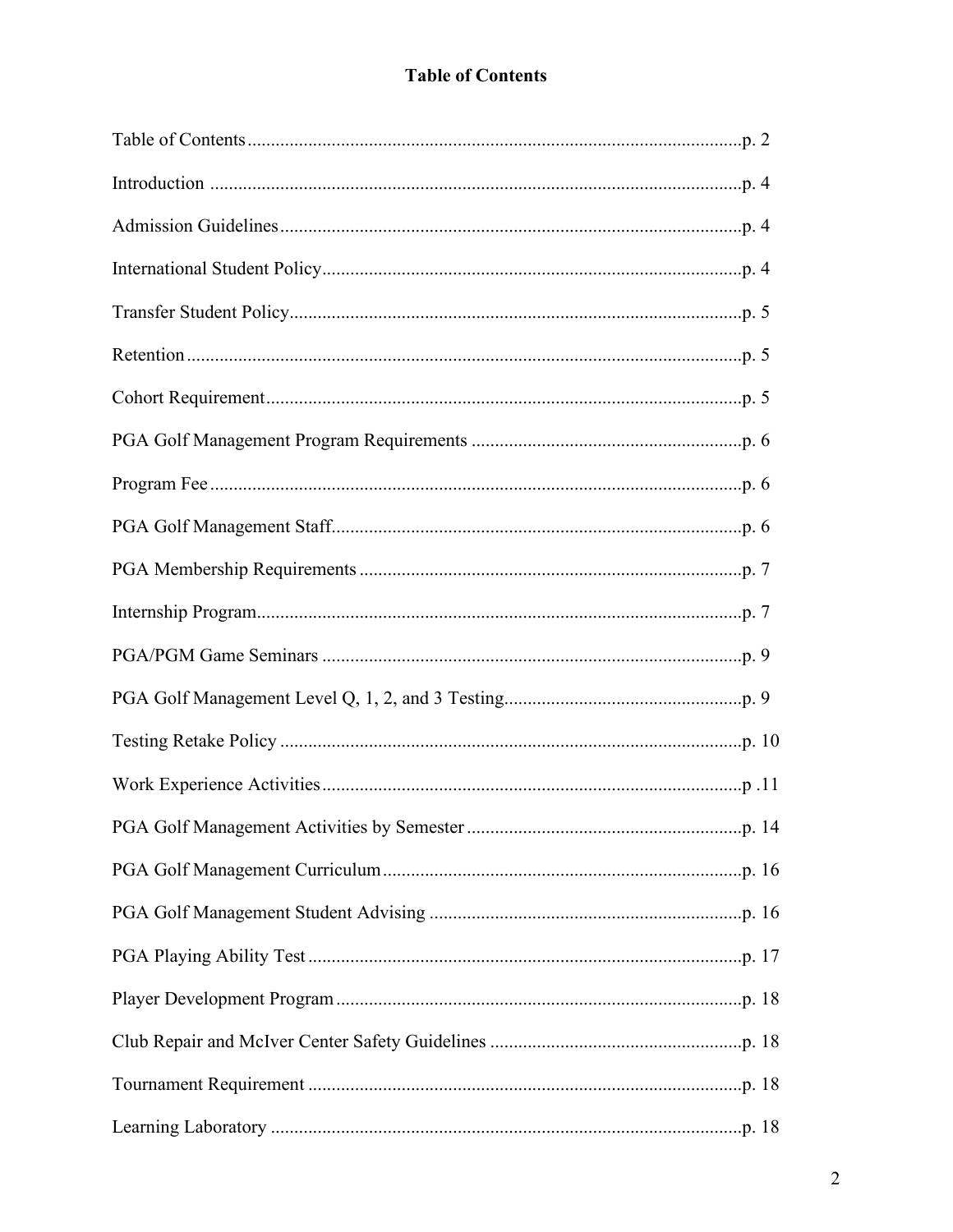# **Table of Contents**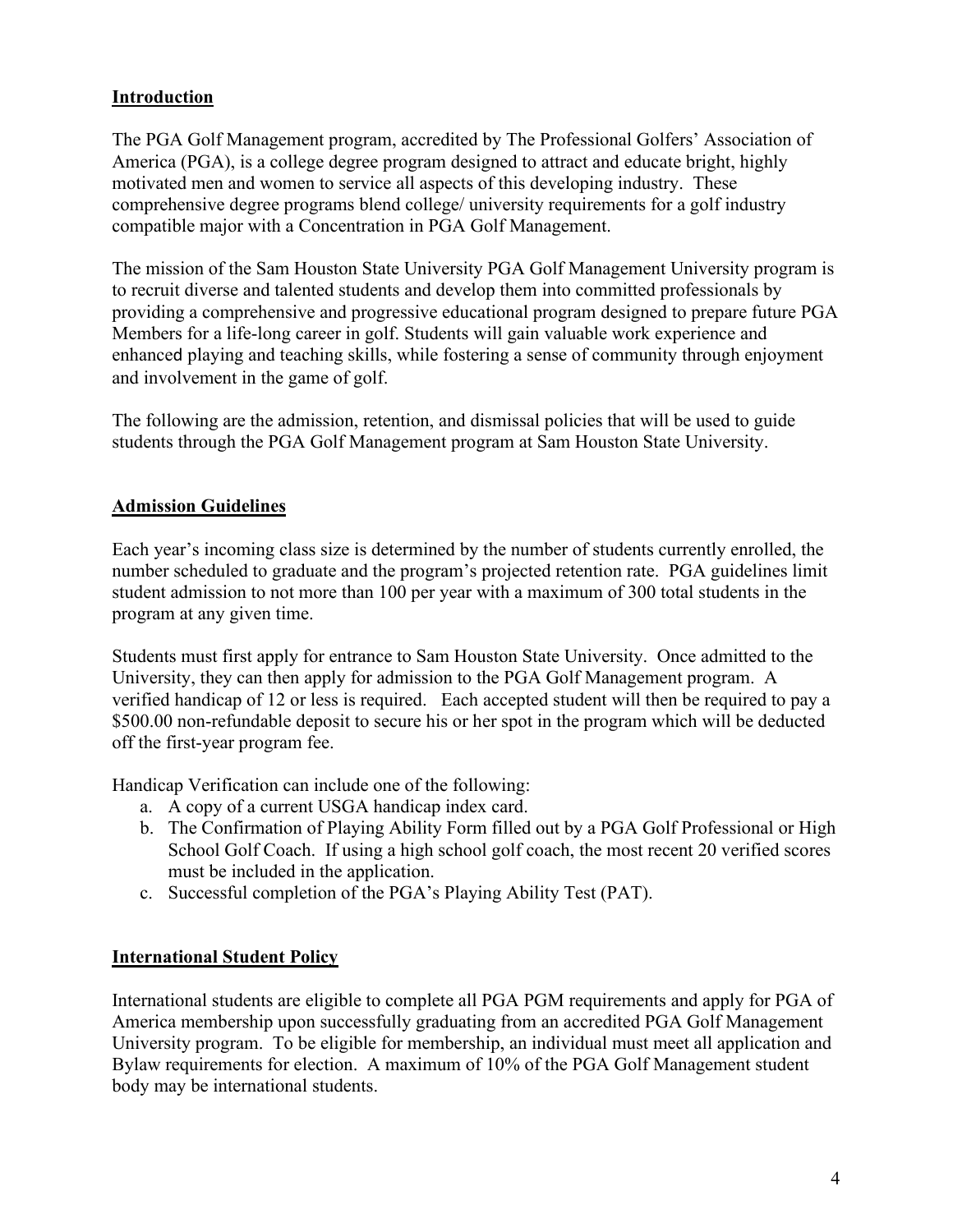#### **Introduction**

The PGA Golf Management program, accredited by The Professional Golfers' Association of America (PGA), is a college degree program designed to attract and educate bright, highly motivated men and women to service all aspects of this developing industry. These comprehensive degree programs blend college/ university requirements for a golf industry compatible major with a Concentration in PGA Golf Management.

The mission of the Sam Houston State University PGA Golf Management University program is to recruit diverse and talented students and develop them into committed professionals by providing a comprehensive and progressive educational program designed to prepare future PGA Members for a life-long career in golf. Students will gain valuable work experience and enhanced playing and teaching skills, while fostering a sense of community through enjoyment and involvement in the game of golf.

The following are the admission, retention, and dismissal policies that will be used to guide students through the PGA Golf Management program at Sam Houston State University.

# **Admission Guidelines**

Each year's incoming class size is determined by the number of students currently enrolled, the number scheduled to graduate and the program's projected retention rate. PGA guidelines limit student admission to not more than 100 per year with a maximum of 300 total students in the program at any given time.

Students must first apply for entrance to Sam Houston State University. Once admitted to the University, they can then apply for admission to the PGA Golf Management program. A verified handicap of 12 or less is required. Each accepted student will then be required to pay a \$500.00 non-refundable deposit to secure his or her spot in the program which will be deducted off the first-year program fee.

Handicap Verification can include one of the following:

- a. A copy of a current USGA handicap index card.
- b. The Confirmation of Playing Ability Form filled out by a PGA Golf Professional or High School Golf Coach. If using a high school golf coach, the most recent 20 verified scores must be included in the application.
- c. Successful completion of the PGA's Playing Ability Test (PAT).

#### **International Student Policy**

International students are eligible to complete all PGA PGM requirements and apply for PGA of America membership upon successfully graduating from an accredited PGA Golf Management University program. To be eligible for membership, an individual must meet all application and Bylaw requirements for election. A maximum of 10% of the PGA Golf Management student body may be international students.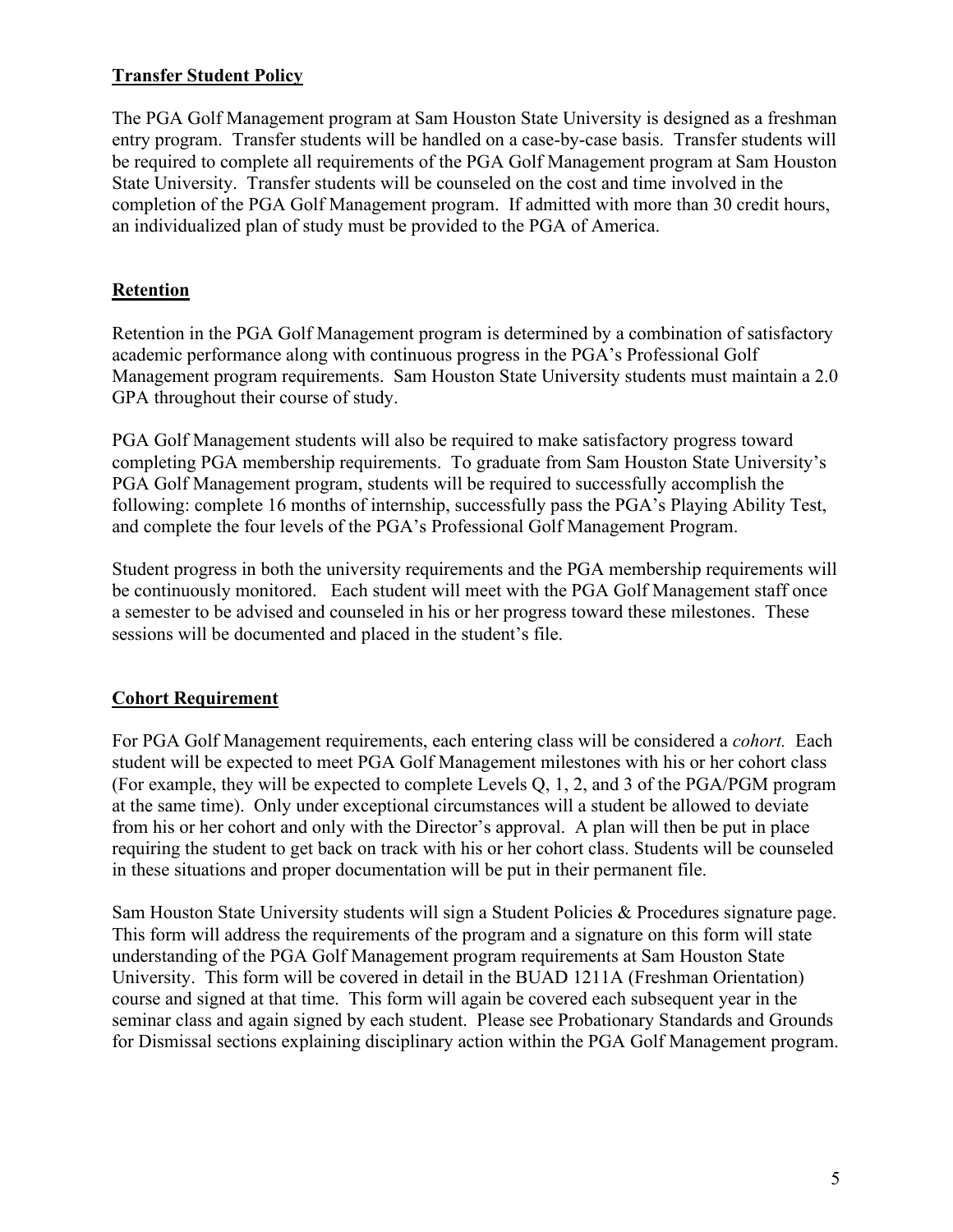#### **Transfer Student Policy**

The PGA Golf Management program at Sam Houston State University is designed as a freshman entry program. Transfer students will be handled on a case-by-case basis. Transfer students will be required to complete all requirements of the PGA Golf Management program at Sam Houston State University. Transfer students will be counseled on the cost and time involved in the completion of the PGA Golf Management program. If admitted with more than 30 credit hours, an individualized plan of study must be provided to the PGA of America.

#### **Retention**

Retention in the PGA Golf Management program is determined by a combination of satisfactory academic performance along with continuous progress in the PGA's Professional Golf Management program requirements. Sam Houston State University students must maintain a 2.0 GPA throughout their course of study.

PGA Golf Management students will also be required to make satisfactory progress toward completing PGA membership requirements. To graduate from Sam Houston State University's PGA Golf Management program, students will be required to successfully accomplish the following: complete 16 months of internship, successfully pass the PGA's Playing Ability Test, and complete the four levels of the PGA's Professional Golf Management Program.

Student progress in both the university requirements and the PGA membership requirements will be continuously monitored. Each student will meet with the PGA Golf Management staff once a semester to be advised and counseled in his or her progress toward these milestones. These sessions will be documented and placed in the student's file.

#### **Cohort Requirement**

For PGA Golf Management requirements, each entering class will be considered a *cohort.* Each student will be expected to meet PGA Golf Management milestones with his or her cohort class (For example, they will be expected to complete Levels Q, 1, 2, and 3 of the PGA/PGM program at the same time). Only under exceptional circumstances will a student be allowed to deviate from his or her cohort and only with the Director's approval. A plan will then be put in place requiring the student to get back on track with his or her cohort class. Students will be counseled in these situations and proper documentation will be put in their permanent file.

Sam Houston State University students will sign a Student Policies & Procedures signature page. This form will address the requirements of the program and a signature on this form will state understanding of the PGA Golf Management program requirements at Sam Houston State University. This form will be covered in detail in the BUAD 1211A (Freshman Orientation) course and signed at that time. This form will again be covered each subsequent year in the seminar class and again signed by each student. Please see Probationary Standards and Grounds for Dismissal sections explaining disciplinary action within the PGA Golf Management program.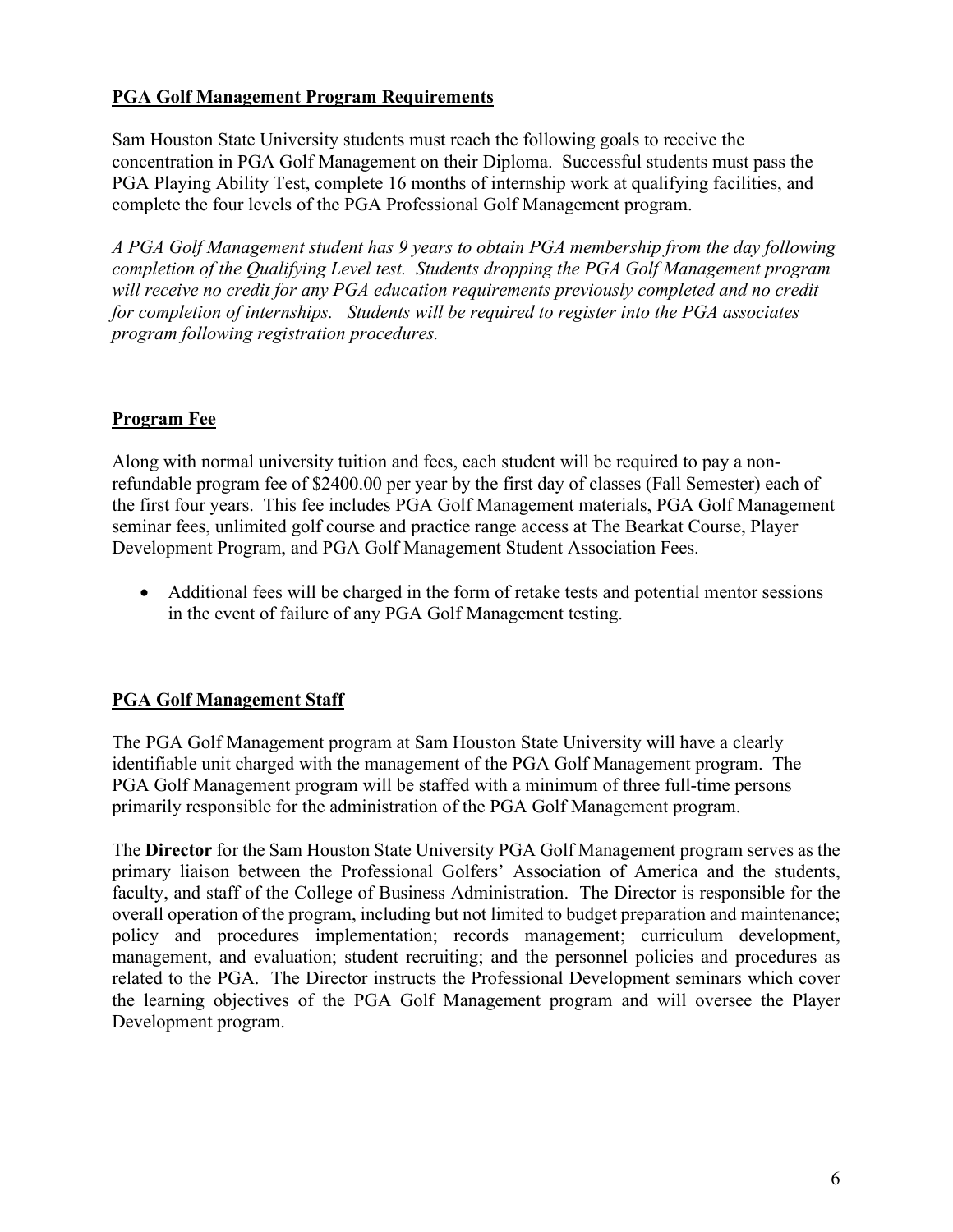#### **PGA Golf Management Program Requirements**

Sam Houston State University students must reach the following goals to receive the concentration in PGA Golf Management on their Diploma. Successful students must pass the PGA Playing Ability Test, complete 16 months of internship work at qualifying facilities, and complete the four levels of the PGA Professional Golf Management program.

*A PGA Golf Management student has 9 years to obtain PGA membership from the day following completion of the Qualifying Level test. Students dropping the PGA Golf Management program will receive no credit for any PGA education requirements previously completed and no credit for completion of internships. Students will be required to register into the PGA associates program following registration procedures.* 

# **Program Fee**

Along with normal university tuition and fees, each student will be required to pay a nonrefundable program fee of \$2400.00 per year by the first day of classes (Fall Semester) each of the first four years. This fee includes PGA Golf Management materials, PGA Golf Management seminar fees, unlimited golf course and practice range access at The Bearkat Course, Player Development Program, and PGA Golf Management Student Association Fees.

• Additional fees will be charged in the form of retake tests and potential mentor sessions in the event of failure of any PGA Golf Management testing.

# **PGA Golf Management Staff**

The PGA Golf Management program at Sam Houston State University will have a clearly identifiable unit charged with the management of the PGA Golf Management program. The PGA Golf Management program will be staffed with a minimum of three full-time persons primarily responsible for the administration of the PGA Golf Management program.

The **Director** for the Sam Houston State University PGA Golf Management program serves as the primary liaison between the Professional Golfers' Association of America and the students, faculty, and staff of the College of Business Administration. The Director is responsible for the overall operation of the program, including but not limited to budget preparation and maintenance; policy and procedures implementation; records management; curriculum development, management, and evaluation; student recruiting; and the personnel policies and procedures as related to the PGA. The Director instructs the Professional Development seminars which cover the learning objectives of the PGA Golf Management program and will oversee the Player Development program.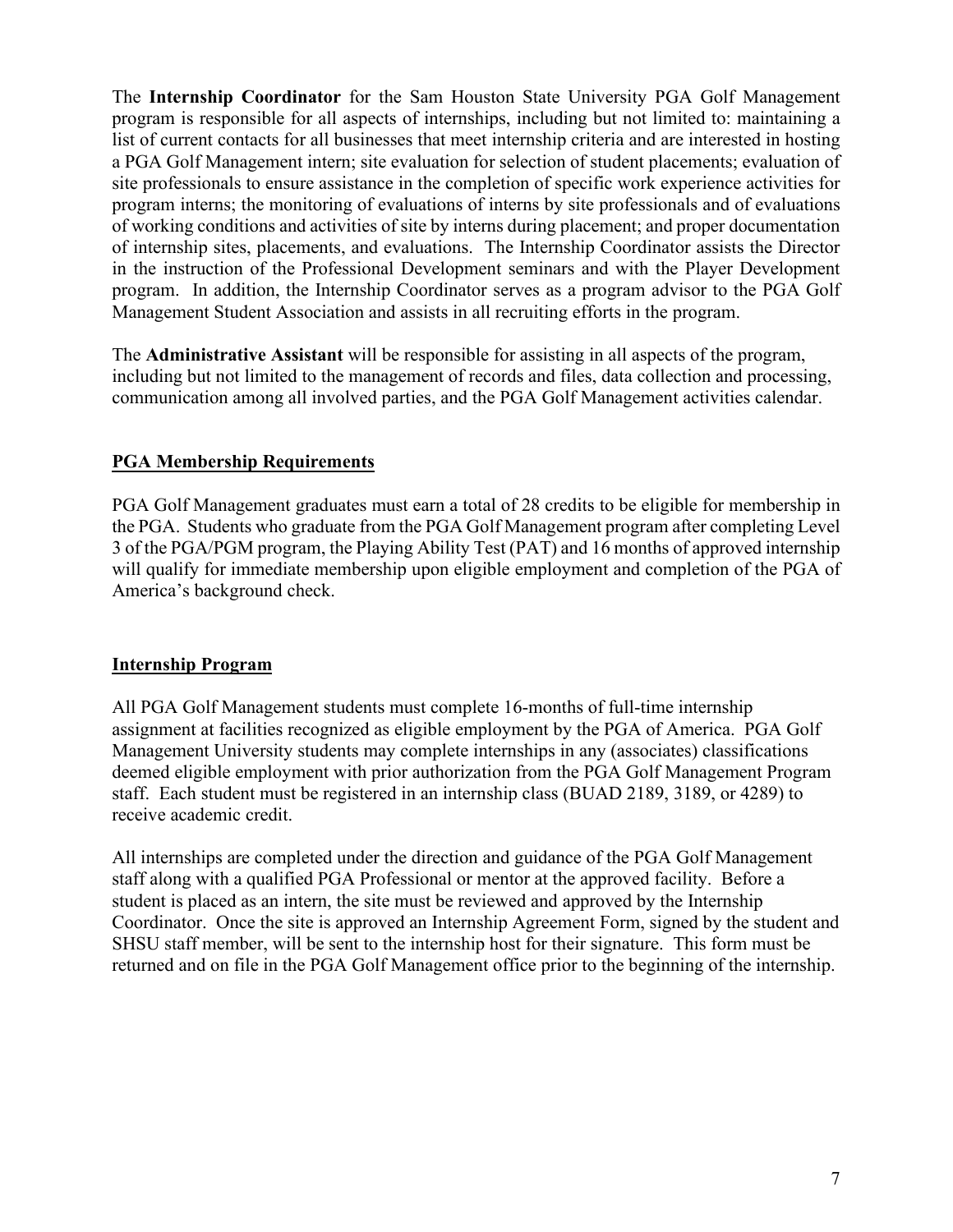The **Internship Coordinator** for the Sam Houston State University PGA Golf Management program is responsible for all aspects of internships, including but not limited to: maintaining a list of current contacts for all businesses that meet internship criteria and are interested in hosting a PGA Golf Management intern; site evaluation for selection of student placements; evaluation of site professionals to ensure assistance in the completion of specific work experience activities for program interns; the monitoring of evaluations of interns by site professionals and of evaluations of working conditions and activities of site by interns during placement; and proper documentation of internship sites, placements, and evaluations. The Internship Coordinator assists the Director in the instruction of the Professional Development seminars and with the Player Development program. In addition, the Internship Coordinator serves as a program advisor to the PGA Golf Management Student Association and assists in all recruiting efforts in the program.

The **Administrative Assistant** will be responsible for assisting in all aspects of the program, including but not limited to the management of records and files, data collection and processing, communication among all involved parties, and the PGA Golf Management activities calendar.

#### **PGA Membership Requirements**

PGA Golf Management graduates must earn a total of 28 credits to be eligible for membership in the PGA. Students who graduate from the PGA Golf Management program after completing Level 3 of the PGA/PGM program, the Playing Ability Test (PAT) and 16 months of approved internship will qualify for immediate membership upon eligible employment and completion of the PGA of America's background check.

#### **Internship Program**

All PGA Golf Management students must complete 16-months of full-time internship assignment at facilities recognized as eligible employment by the PGA of America. PGA Golf Management University students may complete internships in any (associates) classifications deemed eligible employment with prior authorization from the PGA Golf Management Program staff. Each student must be registered in an internship class (BUAD 2189, 3189, or 4289) to receive academic credit.

All internships are completed under the direction and guidance of the PGA Golf Management staff along with a qualified PGA Professional or mentor at the approved facility. Before a student is placed as an intern, the site must be reviewed and approved by the Internship Coordinator. Once the site is approved an Internship Agreement Form, signed by the student and SHSU staff member, will be sent to the internship host for their signature. This form must be returned and on file in the PGA Golf Management office prior to the beginning of the internship.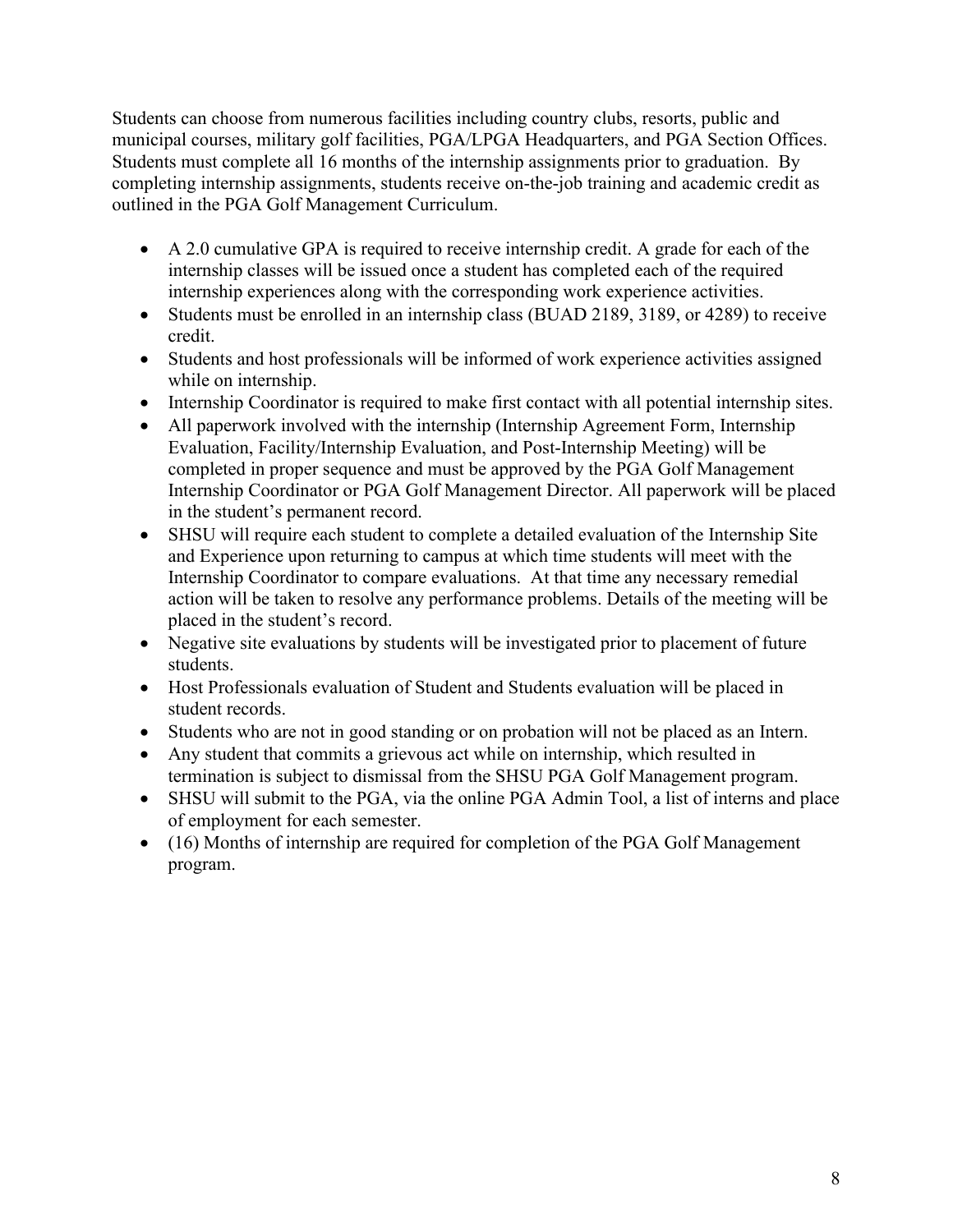Students can choose from numerous facilities including country clubs, resorts, public and municipal courses, military golf facilities, PGA/LPGA Headquarters, and PGA Section Offices. Students must complete all 16 months of the internship assignments prior to graduation. By completing internship assignments, students receive on-the-job training and academic credit as outlined in the PGA Golf Management Curriculum.

- A 2.0 cumulative GPA is required to receive internship credit. A grade for each of the internship classes will be issued once a student has completed each of the required internship experiences along with the corresponding work experience activities.
- Students must be enrolled in an internship class (BUAD 2189, 3189, or 4289) to receive credit.
- Students and host professionals will be informed of work experience activities assigned while on internship.
- Internship Coordinator is required to make first contact with all potential internship sites.
- All paperwork involved with the internship (Internship Agreement Form, Internship Evaluation, Facility/Internship Evaluation, and Post-Internship Meeting) will be completed in proper sequence and must be approved by the PGA Golf Management Internship Coordinator or PGA Golf Management Director. All paperwork will be placed in the student's permanent record.
- SHSU will require each student to complete a detailed evaluation of the Internship Site and Experience upon returning to campus at which time students will meet with the Internship Coordinator to compare evaluations. At that time any necessary remedial action will be taken to resolve any performance problems. Details of the meeting will be placed in the student's record.
- Negative site evaluations by students will be investigated prior to placement of future students.
- Host Professionals evaluation of Student and Students evaluation will be placed in student records.
- Students who are not in good standing or on probation will not be placed as an Intern.
- Any student that commits a grievous act while on internship, which resulted in termination is subject to dismissal from the SHSU PGA Golf Management program.
- SHSU will submit to the PGA, via the online PGA Admin Tool, a list of interns and place of employment for each semester.
- (16) Months of internship are required for completion of the PGA Golf Management program.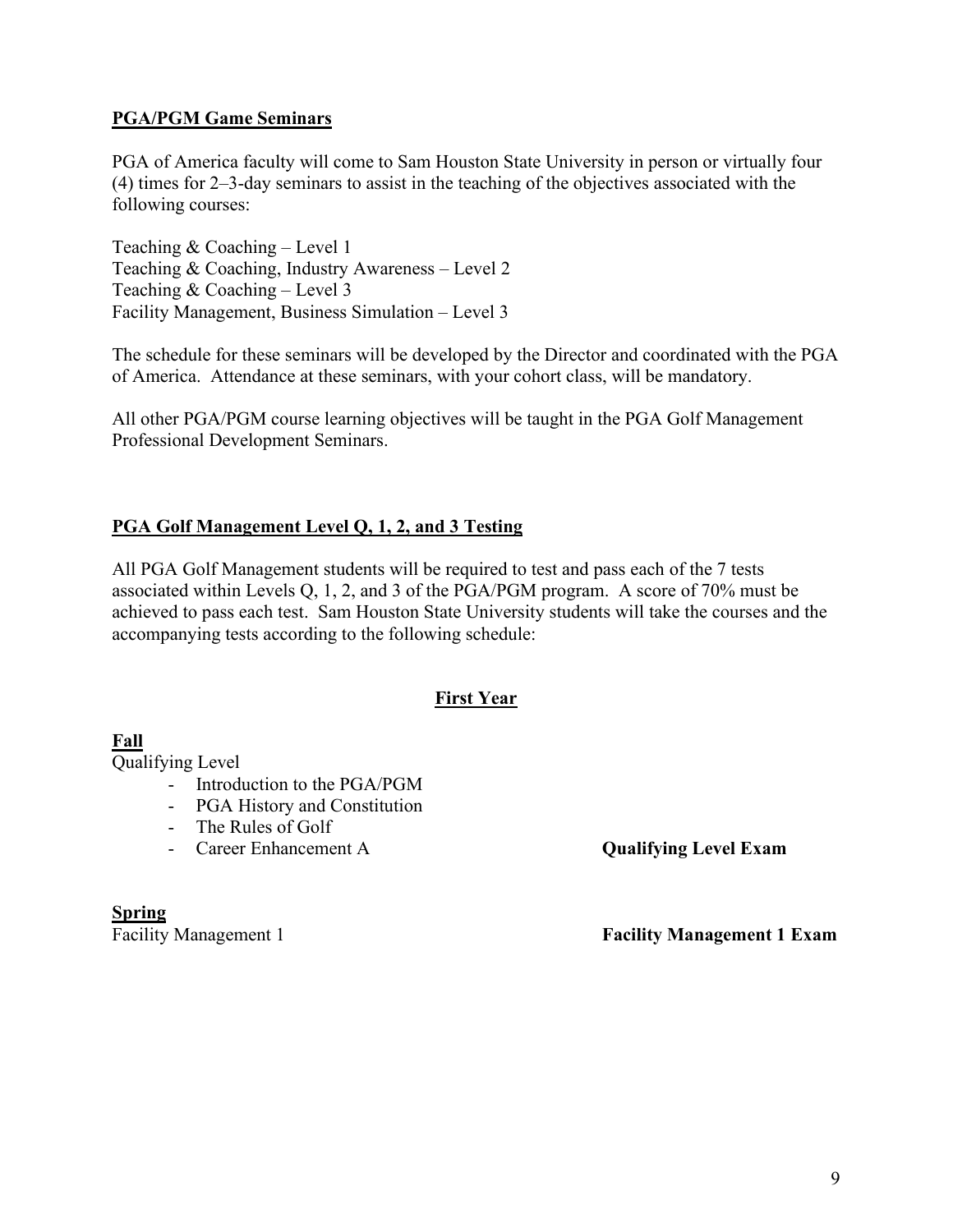#### **PGA/PGM Game Seminars**

PGA of America faculty will come to Sam Houston State University in person or virtually four (4) times for 2–3-day seminars to assist in the teaching of the objectives associated with the following courses:

Teaching & Coaching – Level 1 Teaching & Coaching, Industry Awareness – Level 2 Teaching & Coaching – Level 3 Facility Management, Business Simulation – Level 3

The schedule for these seminars will be developed by the Director and coordinated with the PGA of America. Attendance at these seminars, with your cohort class, will be mandatory.

All other PGA/PGM course learning objectives will be taught in the PGA Golf Management Professional Development Seminars.

#### **PGA Golf Management Level Q, 1, 2, and 3 Testing**

All PGA Golf Management students will be required to test and pass each of the 7 tests associated within Levels Q, 1, 2, and 3 of the PGA/PGM program. A score of 70% must be achieved to pass each test. Sam Houston State University students will take the courses and the accompanying tests according to the following schedule:

#### **First Year**

**Fall** Qualifying Level

- Introduction to the PGA/PGM

- PGA History and Constitution
- The Rules of Golf
- 

- Career Enhancement A **Qualifying Level Exam** 

**Spring**

Facility Management 1 **Facility Management 1 Exam**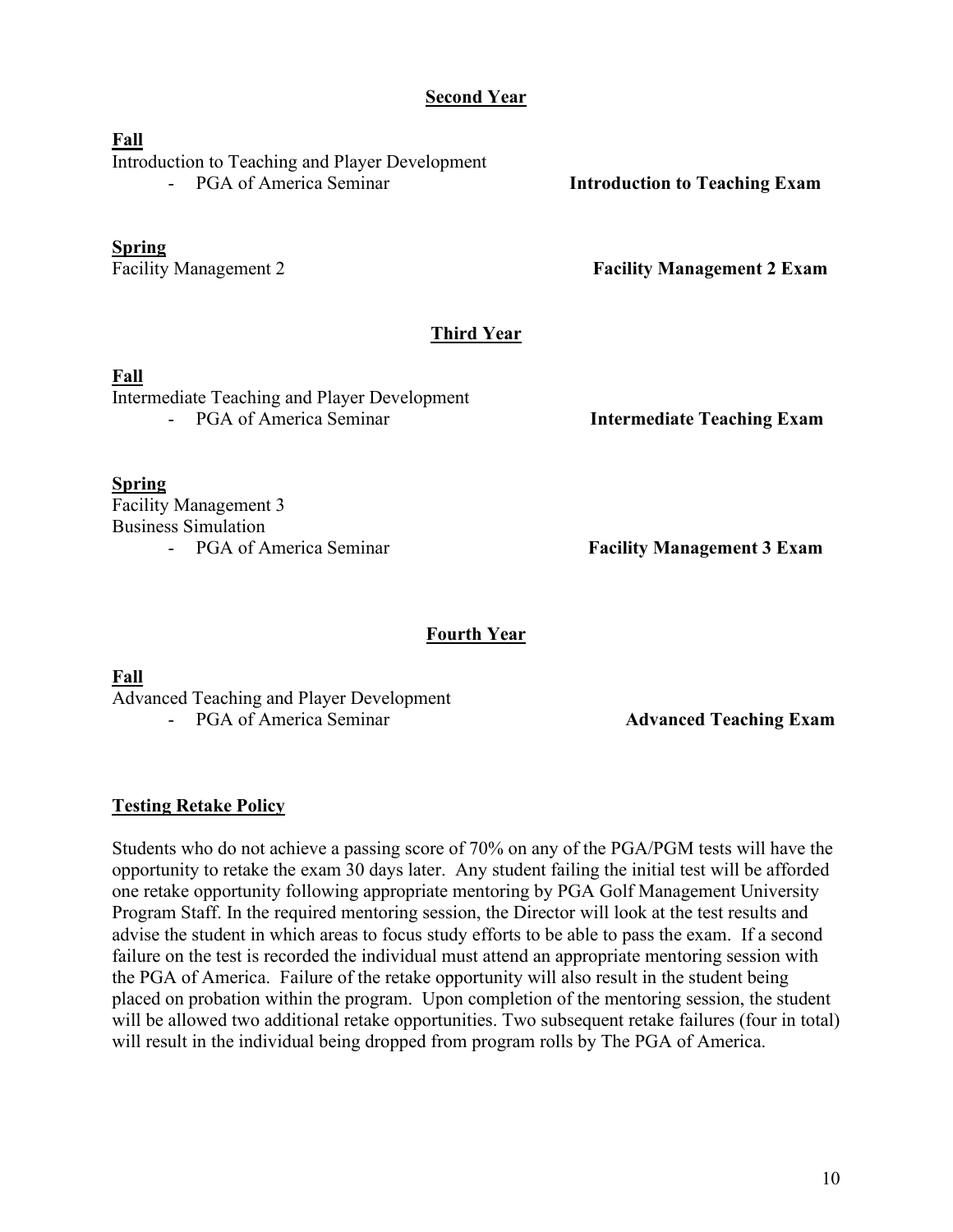# **Second Year**

**Fall** Introduction to Teaching and Player Development - PGA of America Seminar **Introduction to Teaching Exam**

**Spring**

Facility Management 2 **Facility Management 2 Exam**

# **Third Year**

# **Fall**

Intermediate Teaching and Player Development - PGA of America Seminar **Intermediate Teaching Exam**

**Spring** Facility Management 3 Business Simulation

- PGA of America Seminar **Facility Management 3 Exam**

# **Fourth Year**

**Fall**

Advanced Teaching and Player Development - PGA of America Seminar **Advanced Teaching Exam** 

# **Testing Retake Policy**

Students who do not achieve a passing score of 70% on any of the PGA/PGM tests will have the opportunity to retake the exam 30 days later. Any student failing the initial test will be afforded one retake opportunity following appropriate mentoring by PGA Golf Management University Program Staff. In the required mentoring session, the Director will look at the test results and advise the student in which areas to focus study efforts to be able to pass the exam. If a second failure on the test is recorded the individual must attend an appropriate mentoring session with the PGA of America. Failure of the retake opportunity will also result in the student being placed on probation within the program. Upon completion of the mentoring session, the student will be allowed two additional retake opportunities. Two subsequent retake failures (four in total) will result in the individual being dropped from program rolls by The PGA of America.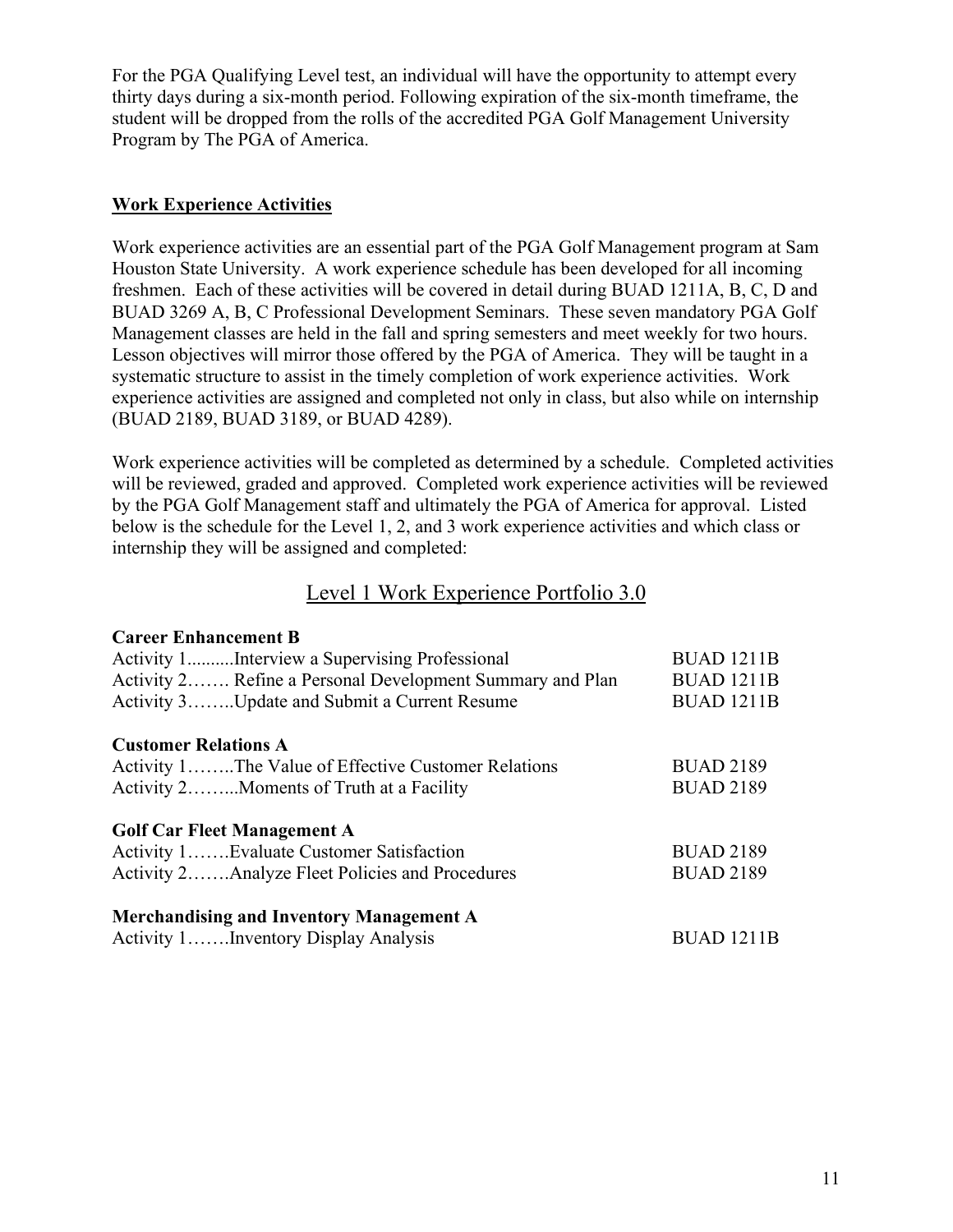For the PGA Qualifying Level test, an individual will have the opportunity to attempt every thirty days during a six-month period. Following expiration of the six-month timeframe, the student will be dropped from the rolls of the accredited PGA Golf Management University Program by The PGA of America.

#### **Work Experience Activities**

Work experience activities are an essential part of the PGA Golf Management program at Sam Houston State University. A work experience schedule has been developed for all incoming freshmen. Each of these activities will be covered in detail during BUAD 1211A, B, C, D and BUAD 3269 A, B, C Professional Development Seminars. These seven mandatory PGA Golf Management classes are held in the fall and spring semesters and meet weekly for two hours. Lesson objectives will mirror those offered by the PGA of America. They will be taught in a systematic structure to assist in the timely completion of work experience activities. Work experience activities are assigned and completed not only in class, but also while on internship (BUAD 2189, BUAD 3189, or BUAD 4289).

Work experience activities will be completed as determined by a schedule. Completed activities will be reviewed, graded and approved. Completed work experience activities will be reviewed by the PGA Golf Management staff and ultimately the PGA of America for approval. Listed below is the schedule for the Level 1, 2, and 3 work experience activities and which class or internship they will be assigned and completed:

# Level 1 Work Experience Portfolio 3.0

#### **Career Enhancement B**

| Activity 1Interview a Supervising Professional            | <b>BUAD 1211B</b> |
|-----------------------------------------------------------|-------------------|
| Activity 2 Refine a Personal Development Summary and Plan | <b>BUAD 1211B</b> |
| Activity 3Update and Submit a Current Resume              | <b>BUAD 1211B</b> |
| <b>Customer Relations A</b>                               |                   |
| Activity 1The Value of Effective Customer Relations       | <b>BUAD 2189</b>  |
| Activity 2Moments of Truth at a Facility                  | <b>BUAD 2189</b>  |
| <b>Golf Car Fleet Management A</b>                        |                   |
| Activity 1Evaluate Customer Satisfaction                  | <b>BUAD 2189</b>  |
| Activity 2Analyze Fleet Policies and Procedures           | <b>BUAD 2189</b>  |
| <b>Merchandising and Inventory Management A</b>           |                   |
| Activity 1Inventory Display Analysis                      | <b>BUAD</b> 1211B |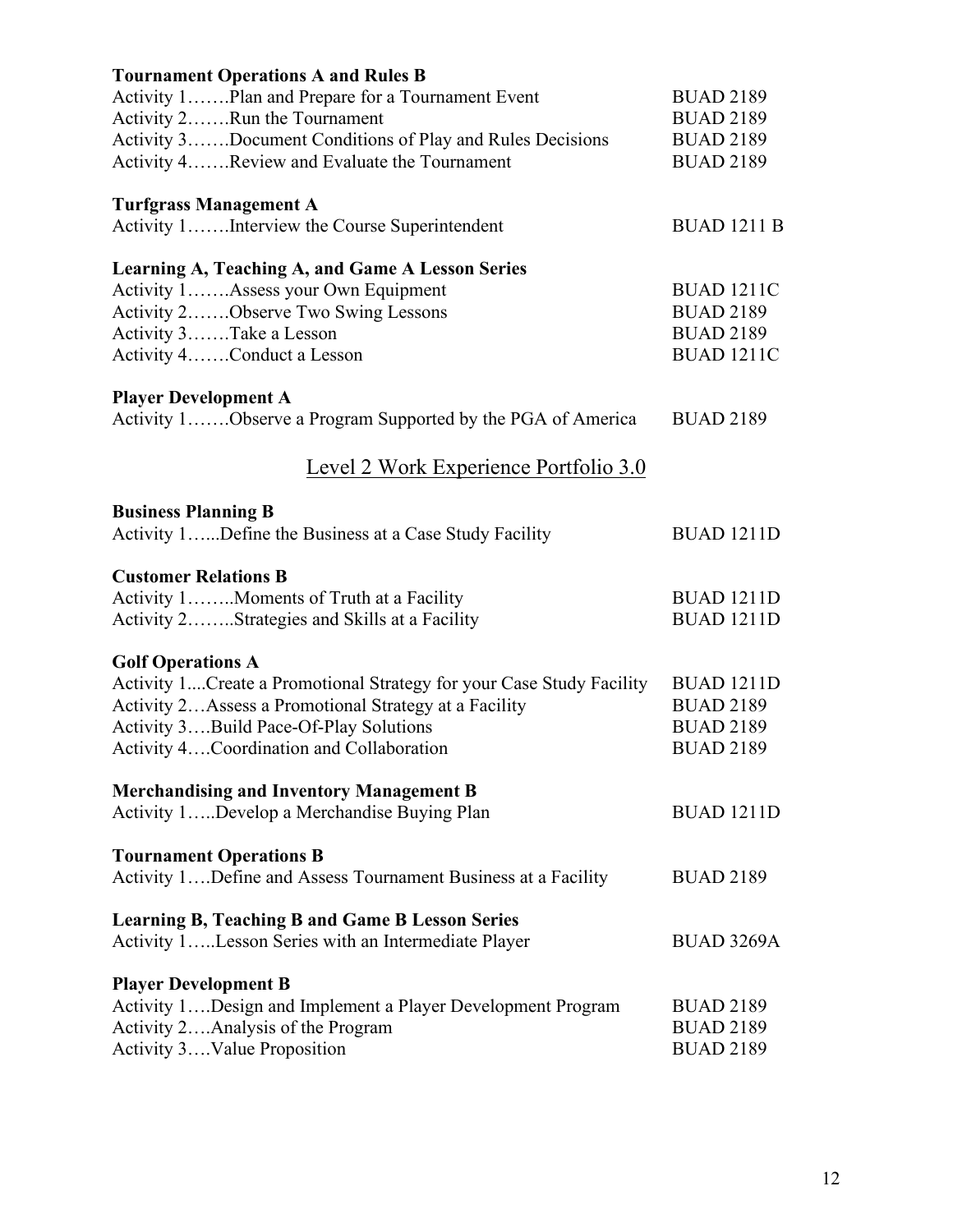| <b>Tournament Operations A and Rules B</b>                           |                           |
|----------------------------------------------------------------------|---------------------------|
| Activity 1Plan and Prepare for a Tournament Event                    | <b>BUAD 2189</b>          |
| Activity 2Run the Tournament                                         | <b>BUAD 2189</b>          |
| Activity 3Document Conditions of Play and Rules Decisions            | <b>BUAD 2189</b>          |
| Activity 4Review and Evaluate the Tournament                         | <b>BUAD 2189</b>          |
|                                                                      |                           |
| <b>Turfgrass Management A</b>                                        |                           |
| Activity 1Interview the Course Superintendent                        | <b>BUAD</b> 1211 <b>B</b> |
| <b>Learning A, Teaching A, and Game A Lesson Series</b>              |                           |
| Activity 1Assess your Own Equipment                                  | <b>BUAD 1211C</b>         |
| Activity 2Observe Two Swing Lessons                                  | <b>BUAD 2189</b>          |
| Activity 3Take a Lesson                                              | <b>BUAD 2189</b>          |
| Activity 4Conduct a Lesson                                           | <b>BUAD 1211C</b>         |
|                                                                      |                           |
| <b>Player Development A</b>                                          |                           |
| Activity 1Observe a Program Supported by the PGA of America          | <b>BUAD 2189</b>          |
| Level 2 Work Experience Portfolio 3.0                                |                           |
| <b>Business Planning B</b>                                           |                           |
| Activity 1Define the Business at a Case Study Facility               | <b>BUAD 1211D</b>         |
|                                                                      |                           |
| <b>Customer Relations B</b>                                          |                           |
| Activity 1Moments of Truth at a Facility                             | <b>BUAD 1211D</b>         |
| Activity 2Strategies and Skills at a Facility                        | <b>BUAD 1211D</b>         |
|                                                                      |                           |
| <b>Golf Operations A</b>                                             |                           |
| Activity 1Create a Promotional Strategy for your Case Study Facility | <b>BUAD 1211D</b>         |
| Activity 2Assess a Promotional Strategy at a Facility                | <b>BUAD 2189</b>          |
| Activity 3Build Pace-Of-Play Solutions                               | <b>BUAD 2189</b>          |
| Activity 4Coordination and Collaboration                             | <b>BUAD 2189</b>          |
| <b>Merchandising and Inventory Management B</b>                      |                           |
| Activity 1Develop a Merchandise Buying Plan                          | <b>BUAD 1211D</b>         |
|                                                                      |                           |
| <b>Tournament Operations B</b>                                       |                           |
| Activity 1Define and Assess Tournament Business at a Facility        | <b>BUAD 2189</b>          |
|                                                                      |                           |
| <b>Learning B, Teaching B and Game B Lesson Series</b>               |                           |
| Activity 1Lesson Series with an Intermediate Player                  | <b>BUAD 3269A</b>         |
| <b>Player Development B</b>                                          |                           |
| Activity 1Design and Implement a Player Development Program          | <b>BUAD 2189</b>          |
| Activity 2Analysis of the Program                                    | <b>BUAD 2189</b>          |
| Activity 3Value Proposition                                          | <b>BUAD 2189</b>          |
|                                                                      |                           |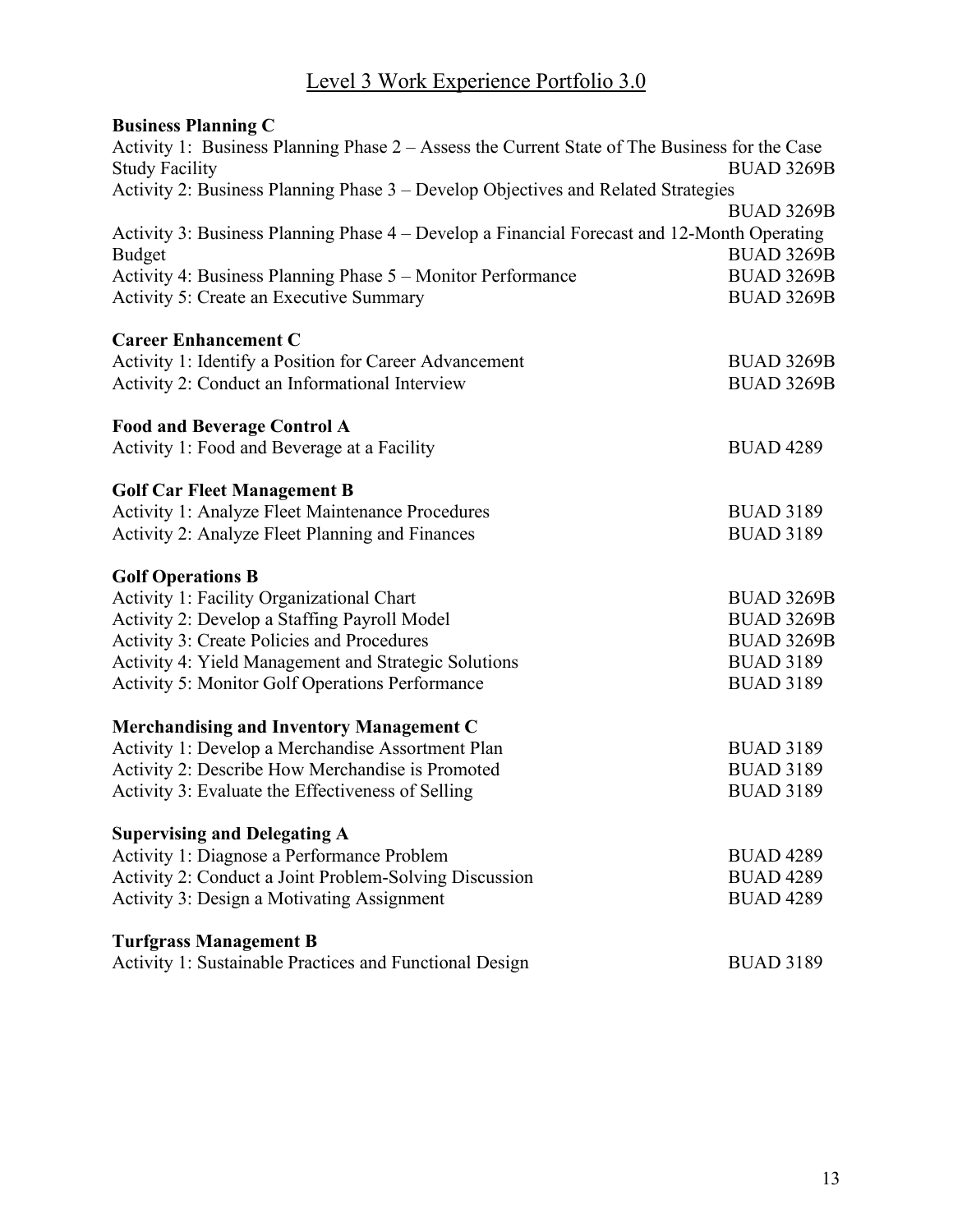# Level 3 Work Experience Portfolio 3.0

| <b>Business Planning C</b>                                                                    |                   |
|-----------------------------------------------------------------------------------------------|-------------------|
| Activity 1: Business Planning Phase 2 – Assess the Current State of The Business for the Case |                   |
| <b>Study Facility</b>                                                                         | <b>BUAD 3269B</b> |
| Activity 2: Business Planning Phase 3 - Develop Objectives and Related Strategies             |                   |
|                                                                                               | <b>BUAD 3269B</b> |
| Activity 3: Business Planning Phase 4 – Develop a Financial Forecast and 12-Month Operating   |                   |
| <b>Budget</b>                                                                                 | <b>BUAD 3269B</b> |
| Activity 4: Business Planning Phase 5 – Monitor Performance                                   | <b>BUAD 3269B</b> |
| Activity 5: Create an Executive Summary                                                       | <b>BUAD 3269B</b> |
| <b>Career Enhancement C</b>                                                                   |                   |
| Activity 1: Identify a Position for Career Advancement                                        | <b>BUAD 3269B</b> |
| Activity 2: Conduct an Informational Interview                                                | <b>BUAD 3269B</b> |
| <b>Food and Beverage Control A</b>                                                            |                   |
| Activity 1: Food and Beverage at a Facility                                                   | <b>BUAD 4289</b>  |
| <b>Golf Car Fleet Management B</b>                                                            |                   |
| <b>Activity 1: Analyze Fleet Maintenance Procedures</b>                                       | <b>BUAD 3189</b>  |
| Activity 2: Analyze Fleet Planning and Finances                                               | <b>BUAD 3189</b>  |
| <b>Golf Operations B</b>                                                                      |                   |
| Activity 1: Facility Organizational Chart                                                     | <b>BUAD 3269B</b> |
| Activity 2: Develop a Staffing Payroll Model                                                  | <b>BUAD 3269B</b> |
| <b>Activity 3: Create Policies and Procedures</b>                                             | <b>BUAD 3269B</b> |
| Activity 4: Yield Management and Strategic Solutions                                          | <b>BUAD 3189</b>  |
| <b>Activity 5: Monitor Golf Operations Performance</b>                                        | <b>BUAD 3189</b>  |
| <b>Merchandising and Inventory Management C</b>                                               |                   |
| Activity 1: Develop a Merchandise Assortment Plan                                             | <b>BUAD 3189</b>  |
| Activity 2: Describe How Merchandise is Promoted                                              | <b>BUAD 3189</b>  |
| Activity 3: Evaluate the Effectiveness of Selling                                             | <b>BUAD 3189</b>  |
| <b>Supervising and Delegating A</b>                                                           |                   |
| Activity 1: Diagnose a Performance Problem                                                    | <b>BUAD 4289</b>  |
| Activity 2: Conduct a Joint Problem-Solving Discussion                                        | <b>BUAD 4289</b>  |
| <b>Activity 3: Design a Motivating Assignment</b>                                             | <b>BUAD 4289</b>  |
| <b>Turfgrass Management B</b>                                                                 |                   |
| Activity 1: Sustainable Practices and Functional Design                                       | <b>BUAD 3189</b>  |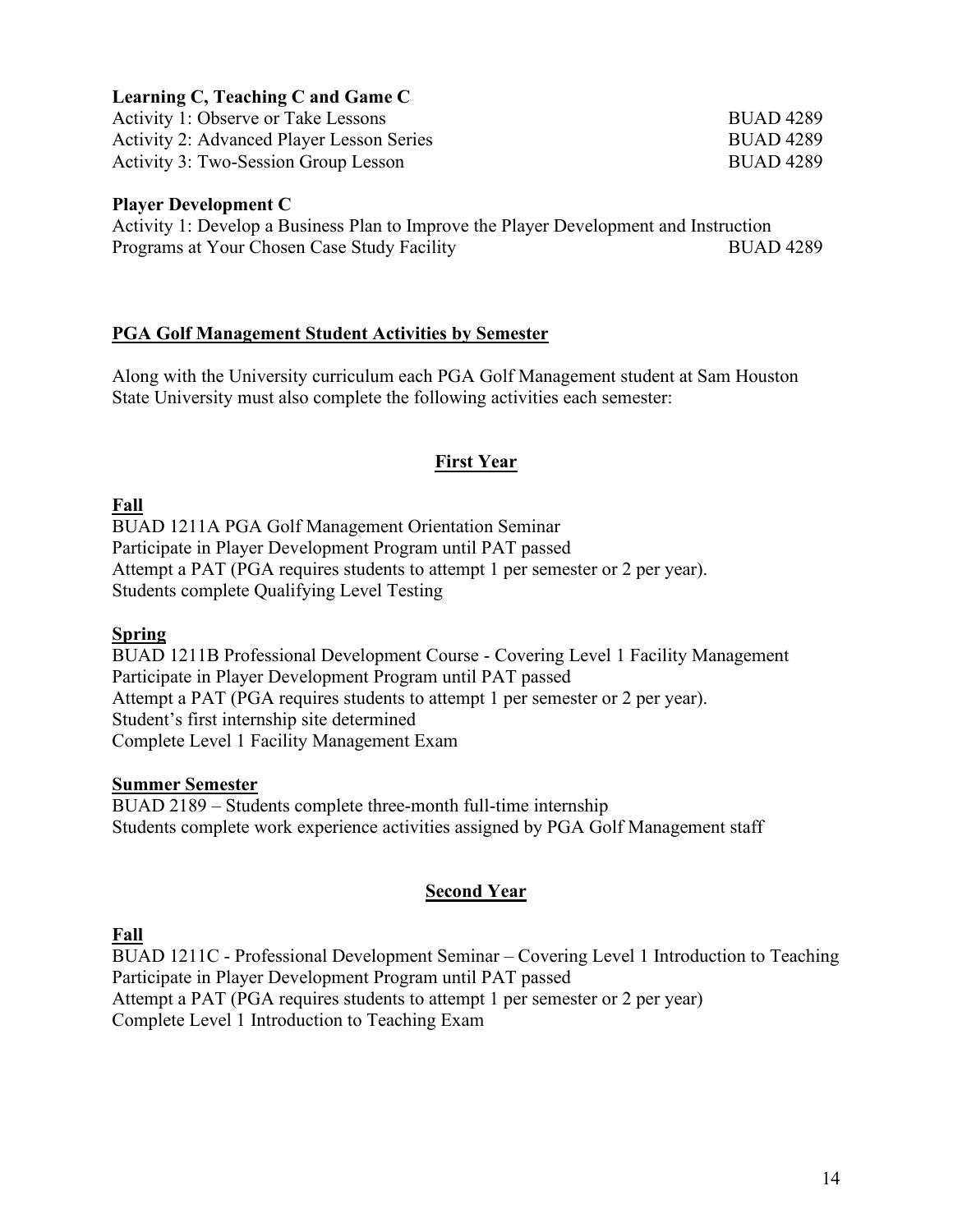#### **Learning C, Teaching C and Game C**

| Activity 1: Observe or Take Lessons              | <b>BUAD</b> 4289 |
|--------------------------------------------------|------------------|
| <b>Activity 2: Advanced Player Lesson Series</b> | <b>BUAD 4289</b> |
| Activity 3: Two-Session Group Lesson             | <b>BUAD</b> 4289 |

#### **Player Development C**

Activity 1: Develop a Business Plan to Improve the Player Development and Instruction Programs at Your Chosen Case Study Facility BUAD 4289

#### **PGA Golf Management Student Activities by Semester**

Along with the University curriculum each PGA Golf Management student at Sam Houston State University must also complete the following activities each semester:

#### **First Year**

#### **Fall**

BUAD 1211A PGA Golf Management Orientation Seminar Participate in Player Development Program until PAT passed Attempt a PAT (PGA requires students to attempt 1 per semester or 2 per year). Students complete Qualifying Level Testing

#### **Spring**

BUAD 1211B Professional Development Course - Covering Level 1 Facility Management Participate in Player Development Program until PAT passed Attempt a PAT (PGA requires students to attempt 1 per semester or 2 per year). Student's first internship site determined Complete Level 1 Facility Management Exam

#### **Summer Semester**

BUAD 2189 – Students complete three-month full-time internship Students complete work experience activities assigned by PGA Golf Management staff

#### **Second Year**

#### **Fall**

BUAD 1211C - Professional Development Seminar – Covering Level 1 Introduction to Teaching Participate in Player Development Program until PAT passed Attempt a PAT (PGA requires students to attempt 1 per semester or 2 per year) Complete Level 1 Introduction to Teaching Exam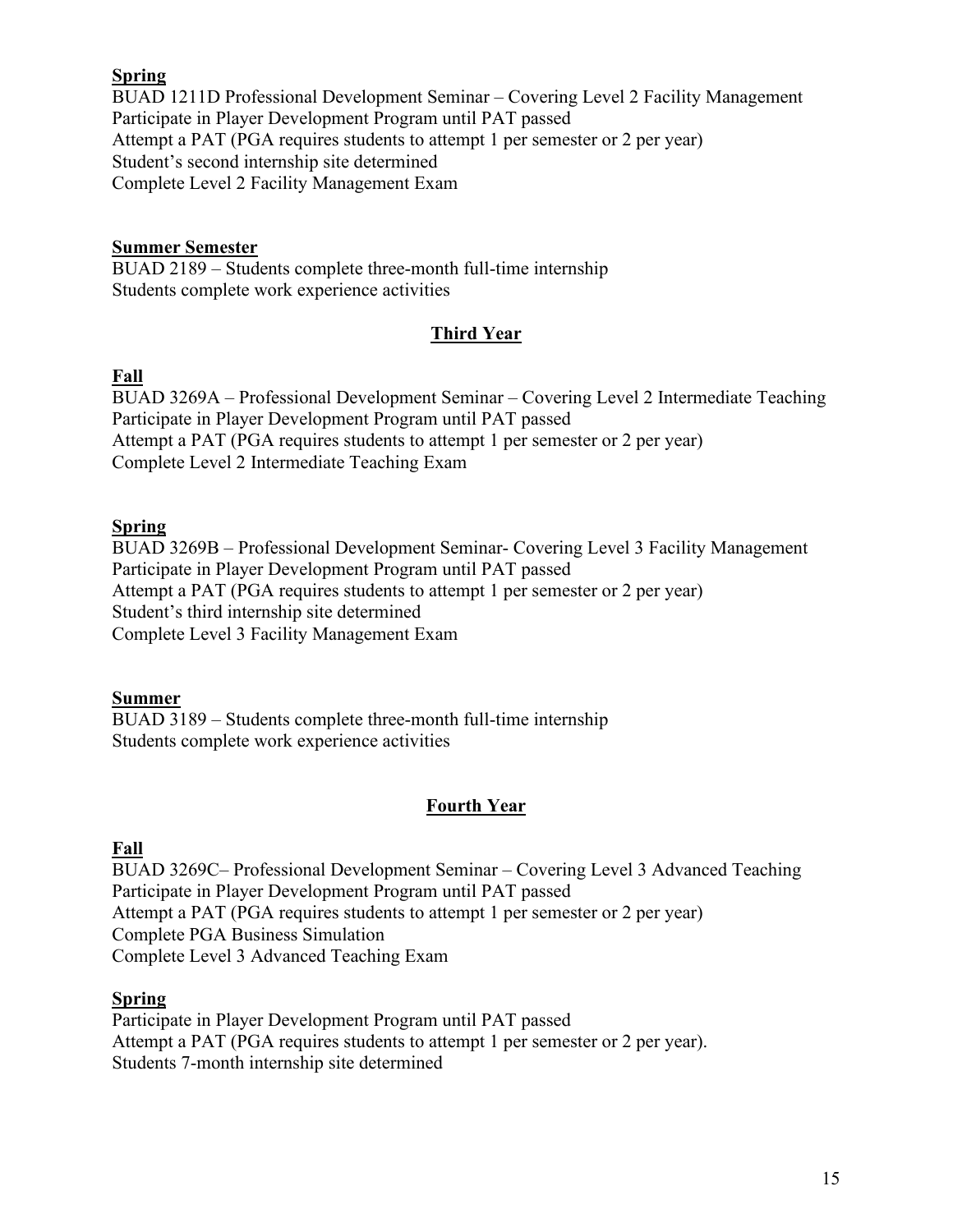# **Spring**

BUAD 1211D Professional Development Seminar – Covering Level 2 Facility Management Participate in Player Development Program until PAT passed Attempt a PAT (PGA requires students to attempt 1 per semester or 2 per year) Student's second internship site determined Complete Level 2 Facility Management Exam

#### **Summer Semester**

BUAD 2189 – Students complete three-month full-time internship Students complete work experience activities

# **Third Year**

# **Fall**

BUAD 3269A – Professional Development Seminar – Covering Level 2 Intermediate Teaching Participate in Player Development Program until PAT passed Attempt a PAT (PGA requires students to attempt 1 per semester or 2 per year) Complete Level 2 Intermediate Teaching Exam

# **Spring**

BUAD 3269B – Professional Development Seminar- Covering Level 3 Facility Management Participate in Player Development Program until PAT passed Attempt a PAT (PGA requires students to attempt 1 per semester or 2 per year) Student's third internship site determined Complete Level 3 Facility Management Exam

# **Summer**

BUAD 3189 – Students complete three-month full-time internship Students complete work experience activities

# **Fourth Year**

# **Fall**

BUAD 3269C– Professional Development Seminar – Covering Level 3 Advanced Teaching Participate in Player Development Program until PAT passed Attempt a PAT (PGA requires students to attempt 1 per semester or 2 per year) Complete PGA Business Simulation Complete Level 3 Advanced Teaching Exam

# **Spring**

Participate in Player Development Program until PAT passed Attempt a PAT (PGA requires students to attempt 1 per semester or 2 per year). Students 7-month internship site determined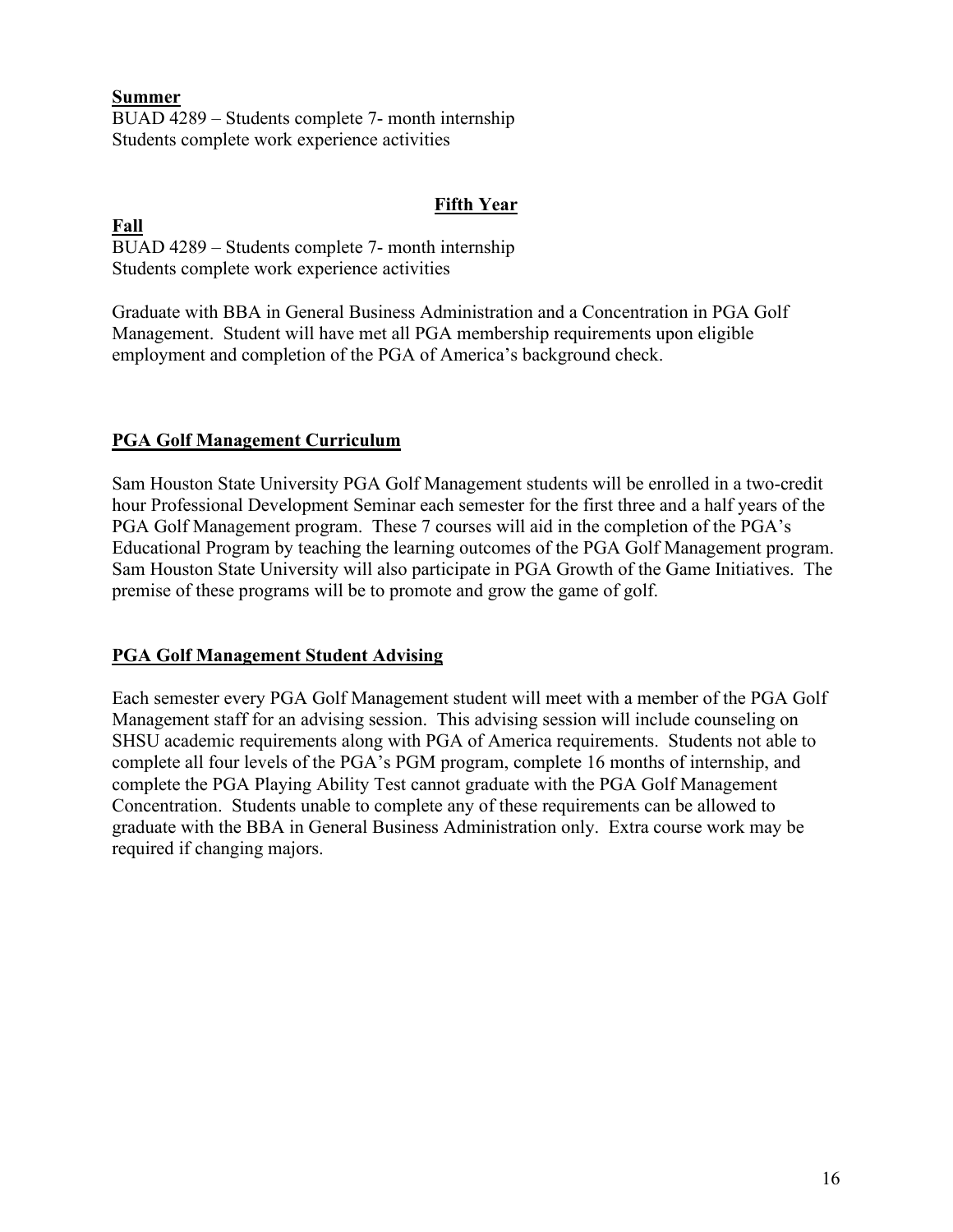**Summer** BUAD 4289 – Students complete 7- month internship Students complete work experience activities

#### **Fifth Year**

**Fall** BUAD 4289 – Students complete 7- month internship Students complete work experience activities

Graduate with BBA in General Business Administration and a Concentration in PGA Golf Management. Student will have met all PGA membership requirements upon eligible employment and completion of the PGA of America's background check.

#### **PGA Golf Management Curriculum**

Sam Houston State University PGA Golf Management students will be enrolled in a two-credit hour Professional Development Seminar each semester for the first three and a half years of the PGA Golf Management program. These 7 courses will aid in the completion of the PGA's Educational Program by teaching the learning outcomes of the PGA Golf Management program. Sam Houston State University will also participate in PGA Growth of the Game Initiatives. The premise of these programs will be to promote and grow the game of golf.

#### **PGA Golf Management Student Advising**

Each semester every PGA Golf Management student will meet with a member of the PGA Golf Management staff for an advising session. This advising session will include counseling on SHSU academic requirements along with PGA of America requirements. Students not able to complete all four levels of the PGA's PGM program, complete 16 months of internship, and complete the PGA Playing Ability Test cannot graduate with the PGA Golf Management Concentration. Students unable to complete any of these requirements can be allowed to graduate with the BBA in General Business Administration only. Extra course work may be required if changing majors.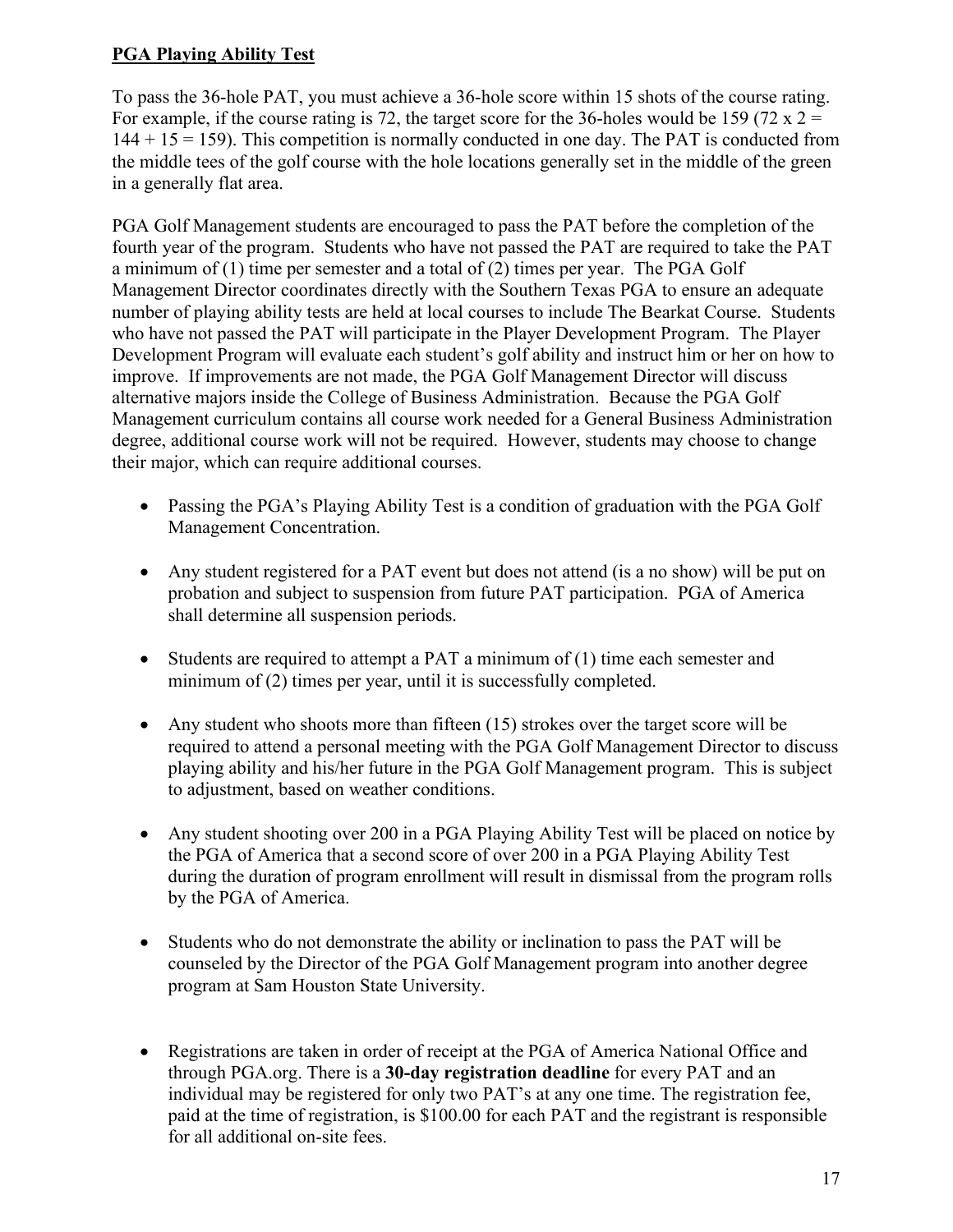#### **PGA Playing Ability Test**

To pass the 36-hole PAT, you must achieve a 36-hole score within 15 shots of the course rating. For example, if the course rating is 72, the target score for the 36-holes would be 159 (72 x  $2 =$  $144 + 15 = 159$ ). This competition is normally conducted in one day. The PAT is conducted from the middle tees of the golf course with the hole locations generally set in the middle of the green in a generally flat area.

PGA Golf Management students are encouraged to pass the PAT before the completion of the fourth year of the program. Students who have not passed the PAT are required to take the PAT a minimum of (1) time per semester and a total of (2) times per year. The PGA Golf Management Director coordinates directly with the Southern Texas PGA to ensure an adequate number of playing ability tests are held at local courses to include The Bearkat Course. Students who have not passed the PAT will participate in the Player Development Program. The Player Development Program will evaluate each student's golf ability and instruct him or her on how to improve. If improvements are not made, the PGA Golf Management Director will discuss alternative majors inside the College of Business Administration. Because the PGA Golf Management curriculum contains all course work needed for a General Business Administration degree, additional course work will not be required. However, students may choose to change their major, which can require additional courses.

- Passing the PGA's Playing Ability Test is a condition of graduation with the PGA Golf Management Concentration.
- Any student registered for a PAT event but does not attend (is a no show) will be put on probation and subject to suspension from future PAT participation. PGA of America shall determine all suspension periods.
- Students are required to attempt a PAT a minimum of (1) time each semester and minimum of (2) times per year, until it is successfully completed.
- Any student who shoots more than fifteen (15) strokes over the target score will be required to attend a personal meeting with the PGA Golf Management Director to discuss playing ability and his/her future in the PGA Golf Management program. This is subject to adjustment, based on weather conditions.
- Any student shooting over 200 in a PGA Playing Ability Test will be placed on notice by the PGA of America that a second score of over 200 in a PGA Playing Ability Test during the duration of program enrollment will result in dismissal from the program rolls by the PGA of America.
- Students who do not demonstrate the ability or inclination to pass the PAT will be counseled by the Director of the PGA Golf Management program into another degree program at Sam Houston State University.
- Registrations are taken in order of receipt at the PGA of America National Office and through PGA.org. There is a **30-day registration deadline** for every PAT and an individual may be registered for only two PAT's at any one time. The registration fee, paid at the time of registration, is \$100.00 for each PAT and the registrant is responsible for all additional on-site fees.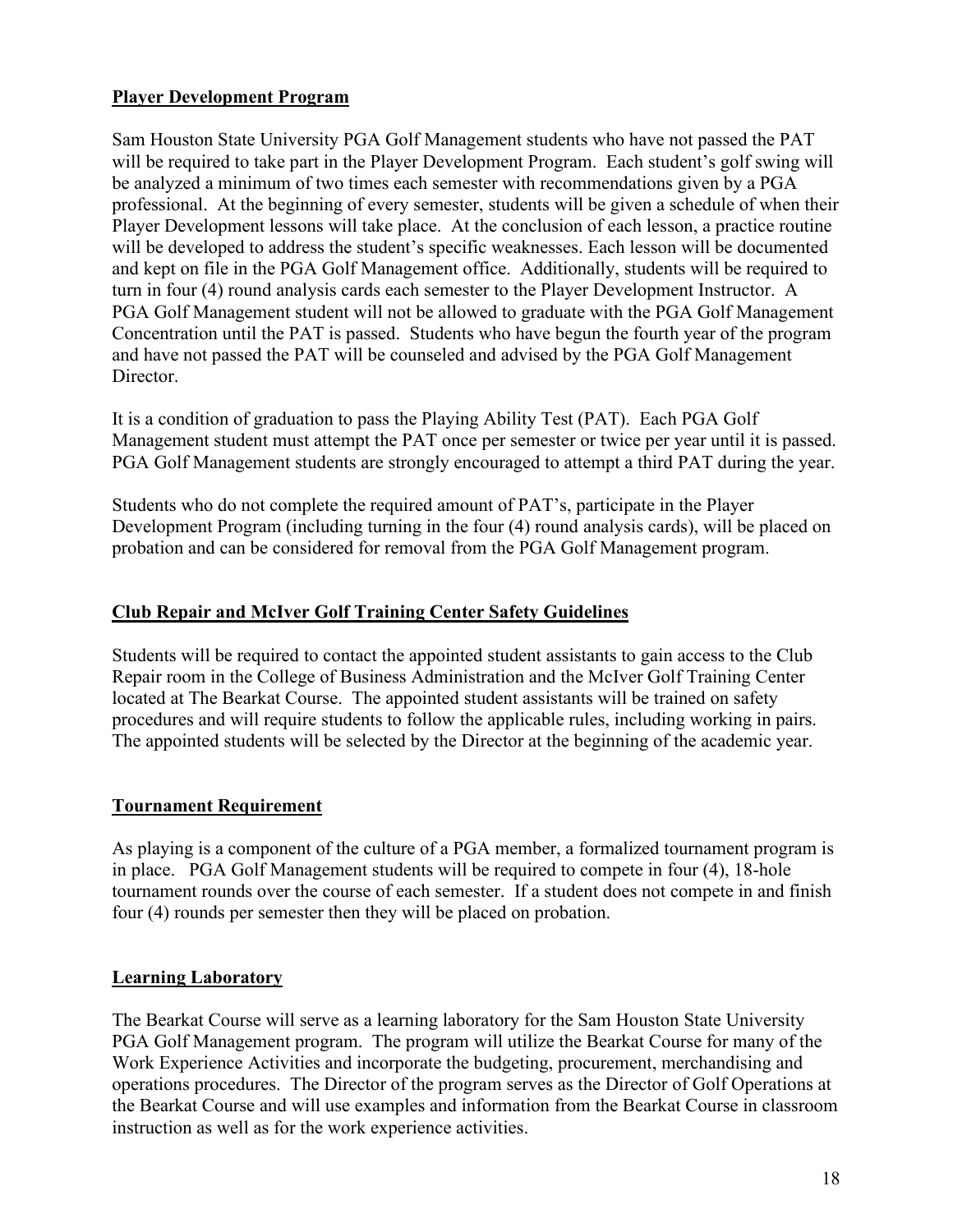#### **Player Development Program**

Sam Houston State University PGA Golf Management students who have not passed the PAT will be required to take part in the Player Development Program. Each student's golf swing will be analyzed a minimum of two times each semester with recommendations given by a PGA professional. At the beginning of every semester, students will be given a schedule of when their Player Development lessons will take place. At the conclusion of each lesson, a practice routine will be developed to address the student's specific weaknesses. Each lesson will be documented and kept on file in the PGA Golf Management office. Additionally, students will be required to turn in four (4) round analysis cards each semester to the Player Development Instructor. A PGA Golf Management student will not be allowed to graduate with the PGA Golf Management Concentration until the PAT is passed. Students who have begun the fourth year of the program and have not passed the PAT will be counseled and advised by the PGA Golf Management Director.

It is a condition of graduation to pass the Playing Ability Test (PAT). Each PGA Golf Management student must attempt the PAT once per semester or twice per year until it is passed. PGA Golf Management students are strongly encouraged to attempt a third PAT during the year.

Students who do not complete the required amount of PAT's, participate in the Player Development Program (including turning in the four (4) round analysis cards), will be placed on probation and can be considered for removal from the PGA Golf Management program.

#### **Club Repair and McIver Golf Training Center Safety Guidelines**

Students will be required to contact the appointed student assistants to gain access to the Club Repair room in the College of Business Administration and the McIver Golf Training Center located at The Bearkat Course. The appointed student assistants will be trained on safety procedures and will require students to follow the applicable rules, including working in pairs. The appointed students will be selected by the Director at the beginning of the academic year.

#### **Tournament Requirement**

As playing is a component of the culture of a PGA member, a formalized tournament program is in place. PGA Golf Management students will be required to compete in four (4), 18-hole tournament rounds over the course of each semester. If a student does not compete in and finish four (4) rounds per semester then they will be placed on probation.

#### **Learning Laboratory**

The Bearkat Course will serve as a learning laboratory for the Sam Houston State University PGA Golf Management program. The program will utilize the Bearkat Course for many of the Work Experience Activities and incorporate the budgeting, procurement, merchandising and operations procedures. The Director of the program serves as the Director of Golf Operations at the Bearkat Course and will use examples and information from the Bearkat Course in classroom instruction as well as for the work experience activities.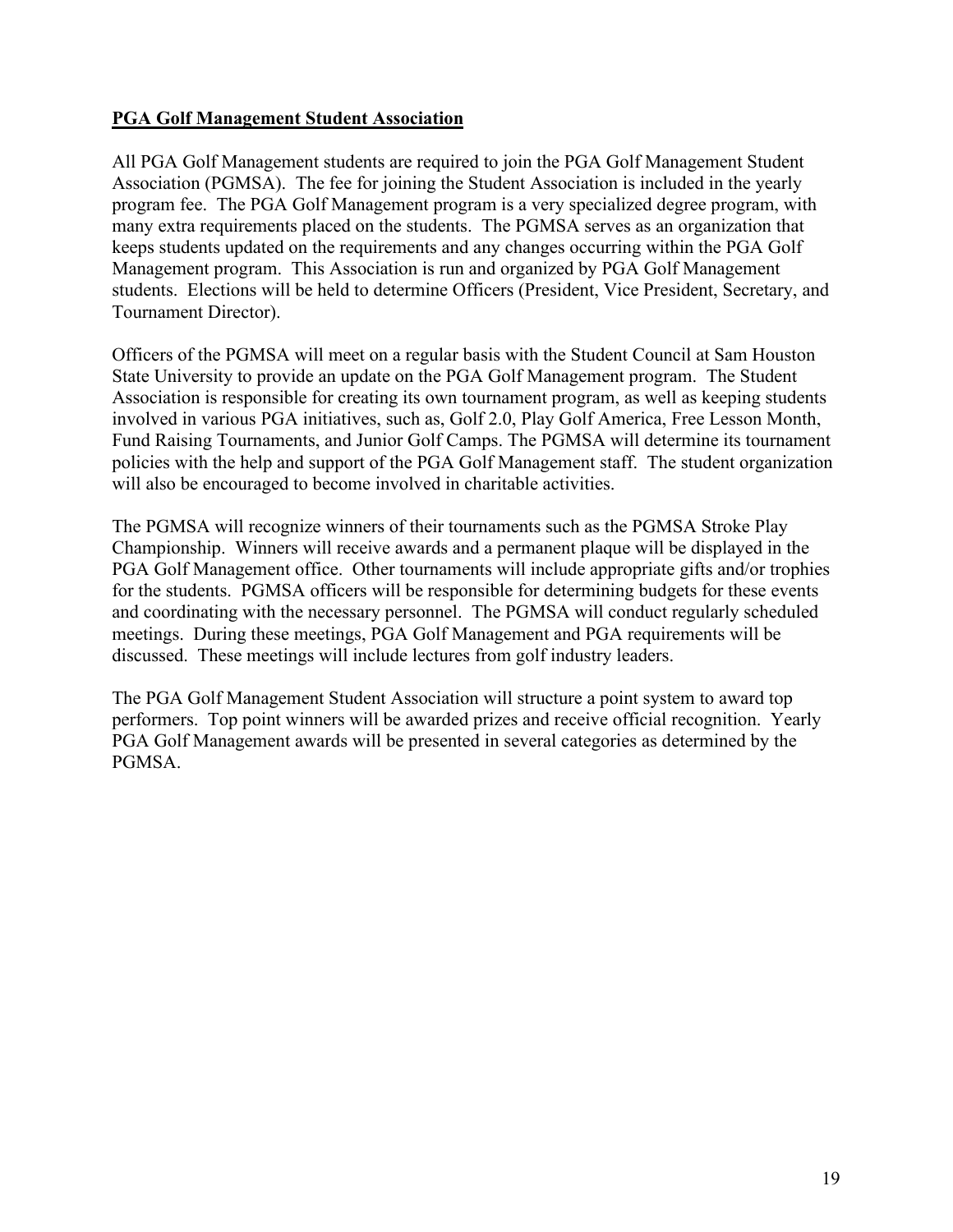#### **PGA Golf Management Student Association**

All PGA Golf Management students are required to join the PGA Golf Management Student Association (PGMSA). The fee for joining the Student Association is included in the yearly program fee. The PGA Golf Management program is a very specialized degree program, with many extra requirements placed on the students. The PGMSA serves as an organization that keeps students updated on the requirements and any changes occurring within the PGA Golf Management program. This Association is run and organized by PGA Golf Management students. Elections will be held to determine Officers (President, Vice President, Secretary, and Tournament Director).

Officers of the PGMSA will meet on a regular basis with the Student Council at Sam Houston State University to provide an update on the PGA Golf Management program. The Student Association is responsible for creating its own tournament program, as well as keeping students involved in various PGA initiatives, such as, Golf 2.0, Play Golf America, Free Lesson Month, Fund Raising Tournaments, and Junior Golf Camps. The PGMSA will determine its tournament policies with the help and support of the PGA Golf Management staff. The student organization will also be encouraged to become involved in charitable activities.

The PGMSA will recognize winners of their tournaments such as the PGMSA Stroke Play Championship. Winners will receive awards and a permanent plaque will be displayed in the PGA Golf Management office. Other tournaments will include appropriate gifts and/or trophies for the students. PGMSA officers will be responsible for determining budgets for these events and coordinating with the necessary personnel. The PGMSA will conduct regularly scheduled meetings. During these meetings, PGA Golf Management and PGA requirements will be discussed. These meetings will include lectures from golf industry leaders.

The PGA Golf Management Student Association will structure a point system to award top performers. Top point winners will be awarded prizes and receive official recognition. Yearly PGA Golf Management awards will be presented in several categories as determined by the PGMSA.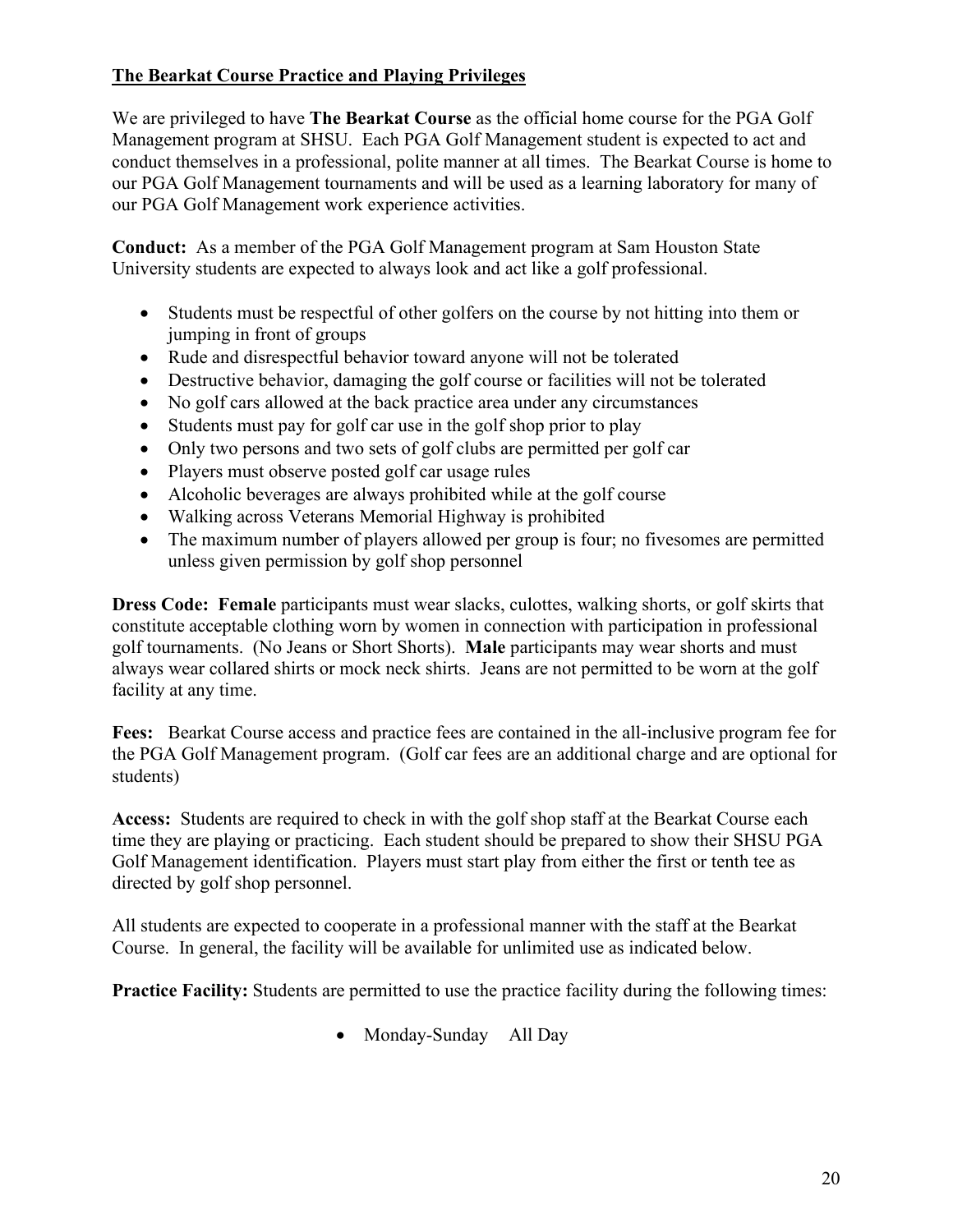#### **The Bearkat Course Practice and Playing Privileges**

We are privileged to have **The Bearkat Course** as the official home course for the PGA Golf Management program at SHSU. Each PGA Golf Management student is expected to act and conduct themselves in a professional, polite manner at all times. The Bearkat Course is home to our PGA Golf Management tournaments and will be used as a learning laboratory for many of our PGA Golf Management work experience activities.

**Conduct:** As a member of the PGA Golf Management program at Sam Houston State University students are expected to always look and act like a golf professional.

- Students must be respectful of other golfers on the course by not hitting into them or jumping in front of groups
- Rude and disrespectful behavior toward anyone will not be tolerated
- Destructive behavior, damaging the golf course or facilities will not be tolerated
- No golf cars allowed at the back practice area under any circumstances
- Students must pay for golf car use in the golf shop prior to play
- Only two persons and two sets of golf clubs are permitted per golf car
- Players must observe posted golf car usage rules
- Alcoholic beverages are always prohibited while at the golf course
- Walking across Veterans Memorial Highway is prohibited
- The maximum number of players allowed per group is four; no fivesomes are permitted unless given permission by golf shop personnel

**Dress Code: Female** participants must wear slacks, culottes, walking shorts, or golf skirts that constitute acceptable clothing worn by women in connection with participation in professional golf tournaments. (No Jeans or Short Shorts). **Male** participants may wear shorts and must always wear collared shirts or mock neck shirts. Jeans are not permitted to be worn at the golf facility at any time.

**Fees:** Bearkat Course access and practice fees are contained in the all-inclusive program fee for the PGA Golf Management program. (Golf car fees are an additional charge and are optional for students)

**Access:** Students are required to check in with the golf shop staff at the Bearkat Course each time they are playing or practicing. Each student should be prepared to show their SHSU PGA Golf Management identification. Players must start play from either the first or tenth tee as directed by golf shop personnel.

All students are expected to cooperate in a professional manner with the staff at the Bearkat Course. In general, the facility will be available for unlimited use as indicated below.

**Practice Facility:** Students are permitted to use the practice facility during the following times:

• Monday-Sunday All Day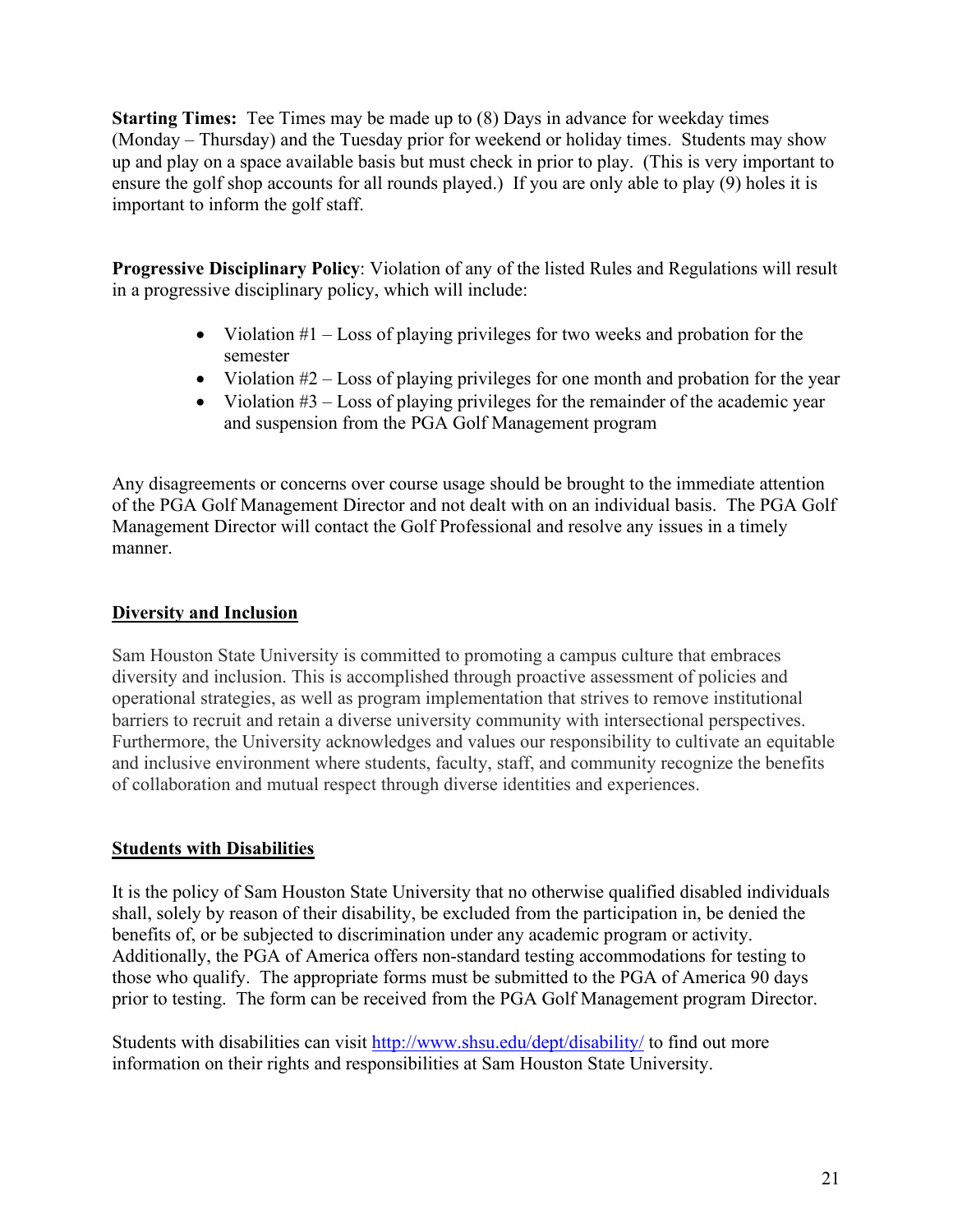**Starting Times:** Tee Times may be made up to (8) Days in advance for weekday times (Monday – Thursday) and the Tuesday prior for weekend or holiday times. Students may show up and play on a space available basis but must check in prior to play. (This is very important to ensure the golf shop accounts for all rounds played.) If you are only able to play (9) holes it is important to inform the golf staff.

**Progressive Disciplinary Policy**: Violation of any of the listed Rules and Regulations will result in a progressive disciplinary policy, which will include:

- Violation  $#1$  Loss of playing privileges for two weeks and probation for the semester
- Violation #2 Loss of playing privileges for one month and probation for the year
- Violation  $#3$  Loss of playing privileges for the remainder of the academic year and suspension from the PGA Golf Management program

Any disagreements or concerns over course usage should be brought to the immediate attention of the PGA Golf Management Director and not dealt with on an individual basis. The PGA Golf Management Director will contact the Golf Professional and resolve any issues in a timely manner.

#### **Diversity and Inclusion**

Sam Houston State University is committed to promoting a campus culture that embraces diversity and inclusion. This is accomplished through proactive assessment of policies and operational strategies, as well as program implementation that strives to remove institutional barriers to recruit and retain a diverse university community with intersectional perspectives. Furthermore, the University acknowledges and values our responsibility to cultivate an equitable and inclusive environment where students, faculty, staff, and community recognize the benefits of collaboration and mutual respect through diverse identities and experiences.

#### **Students with Disabilities**

It is the policy of Sam Houston State University that no otherwise qualified disabled individuals shall, solely by reason of their disability, be excluded from the participation in, be denied the benefits of, or be subjected to discrimination under any academic program or activity. Additionally, the PGA of America offers non-standard testing accommodations for testing to those who qualify. The appropriate forms must be submitted to the PGA of America 90 days prior to testing. The form can be received from the PGA Golf Management program Director.

Students with disabilities can visit<http://www.shsu.edu/dept/disability/>to find out more information on their rights and responsibilities at Sam Houston State University.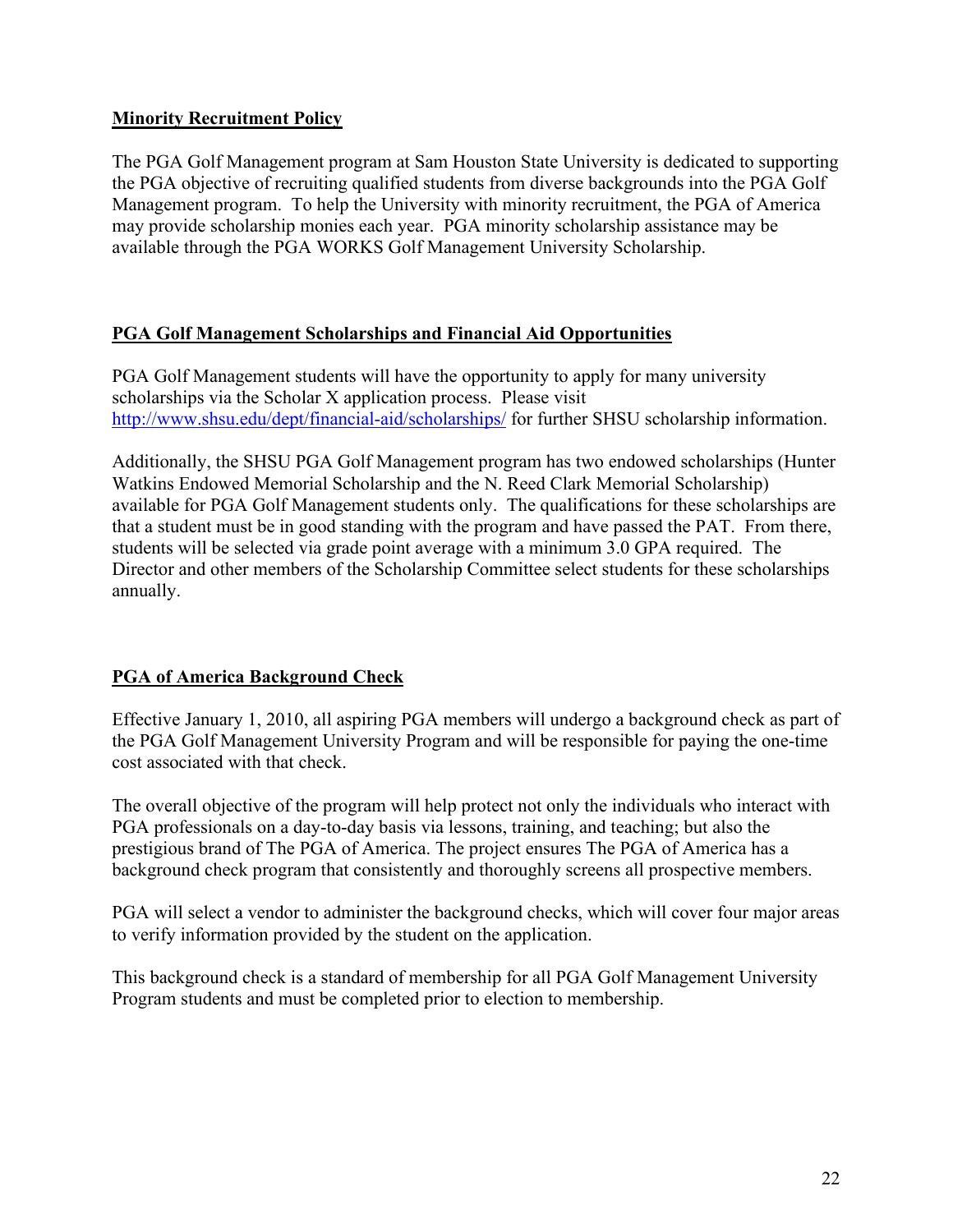#### **Minority Recruitment Policy**

The PGA Golf Management program at Sam Houston State University is dedicated to supporting the PGA objective of recruiting qualified students from diverse backgrounds into the PGA Golf Management program. To help the University with minority recruitment, the PGA of America may provide scholarship monies each year. PGA minority scholarship assistance may be available through the PGA WORKS Golf Management University Scholarship.

#### **PGA Golf Management Scholarships and Financial Aid Opportunities**

PGA Golf Management students will have the opportunity to apply for many university scholarships via the Scholar X application process. Please visit <http://www.shsu.edu/dept/financial-aid/scholarships/>for further SHSU scholarship information.

Additionally, the SHSU PGA Golf Management program has two endowed scholarships (Hunter Watkins Endowed Memorial Scholarship and the N. Reed Clark Memorial Scholarship) available for PGA Golf Management students only. The qualifications for these scholarships are that a student must be in good standing with the program and have passed the PAT. From there, students will be selected via grade point average with a minimum 3.0 GPA required. The Director and other members of the Scholarship Committee select students for these scholarships annually.

# **PGA of America Background Check**

Effective January 1, 2010, all aspiring PGA members will undergo a background check as part of the PGA Golf Management University Program and will be responsible for paying the one-time cost associated with that check.

The overall objective of the program will help protect not only the individuals who interact with PGA professionals on a day-to-day basis via lessons, training, and teaching; but also the prestigious brand of The PGA of America. The project ensures The PGA of America has a background check program that consistently and thoroughly screens all prospective members.

PGA will select a vendor to administer the background checks, which will cover four major areas to verify information provided by the student on the application.

This background check is a standard of membership for all PGA Golf Management University Program students and must be completed prior to election to membership.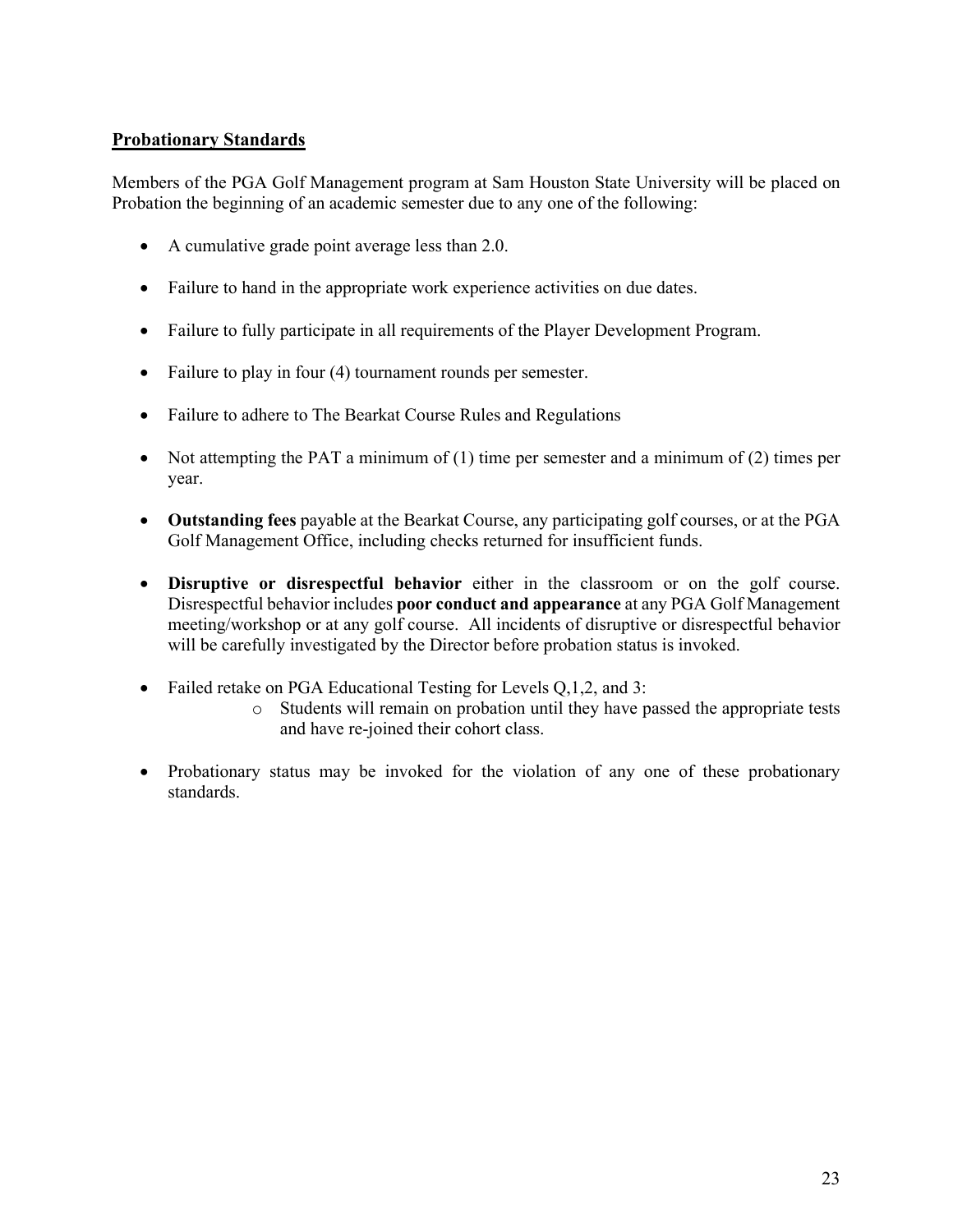#### **Probationary Standards**

Members of the PGA Golf Management program at Sam Houston State University will be placed on Probation the beginning of an academic semester due to any one of the following:

- A cumulative grade point average less than 2.0.
- Failure to hand in the appropriate work experience activities on due dates.
- Failure to fully participate in all requirements of the Player Development Program.
- Failure to play in four (4) tournament rounds per semester.
- Failure to adhere to The Bearkat Course Rules and Regulations
- Not attempting the PAT a minimum of  $(1)$  time per semester and a minimum of  $(2)$  times per year.
- **Outstanding fees** payable at the Bearkat Course, any participating golf courses, or at the PGA Golf Management Office, including checks returned for insufficient funds.
- **Disruptive or disrespectful behavior** either in the classroom or on the golf course. Disrespectful behavior includes **poor conduct and appearance** at any PGA Golf Management meeting/workshop or at any golf course. All incidents of disruptive or disrespectful behavior will be carefully investigated by the Director before probation status is invoked.
- Failed retake on PGA Educational Testing for Levels Q, 1, 2, and 3:
	- o Students will remain on probation until they have passed the appropriate tests and have re-joined their cohort class.
- Probationary status may be invoked for the violation of any one of these probationary standards.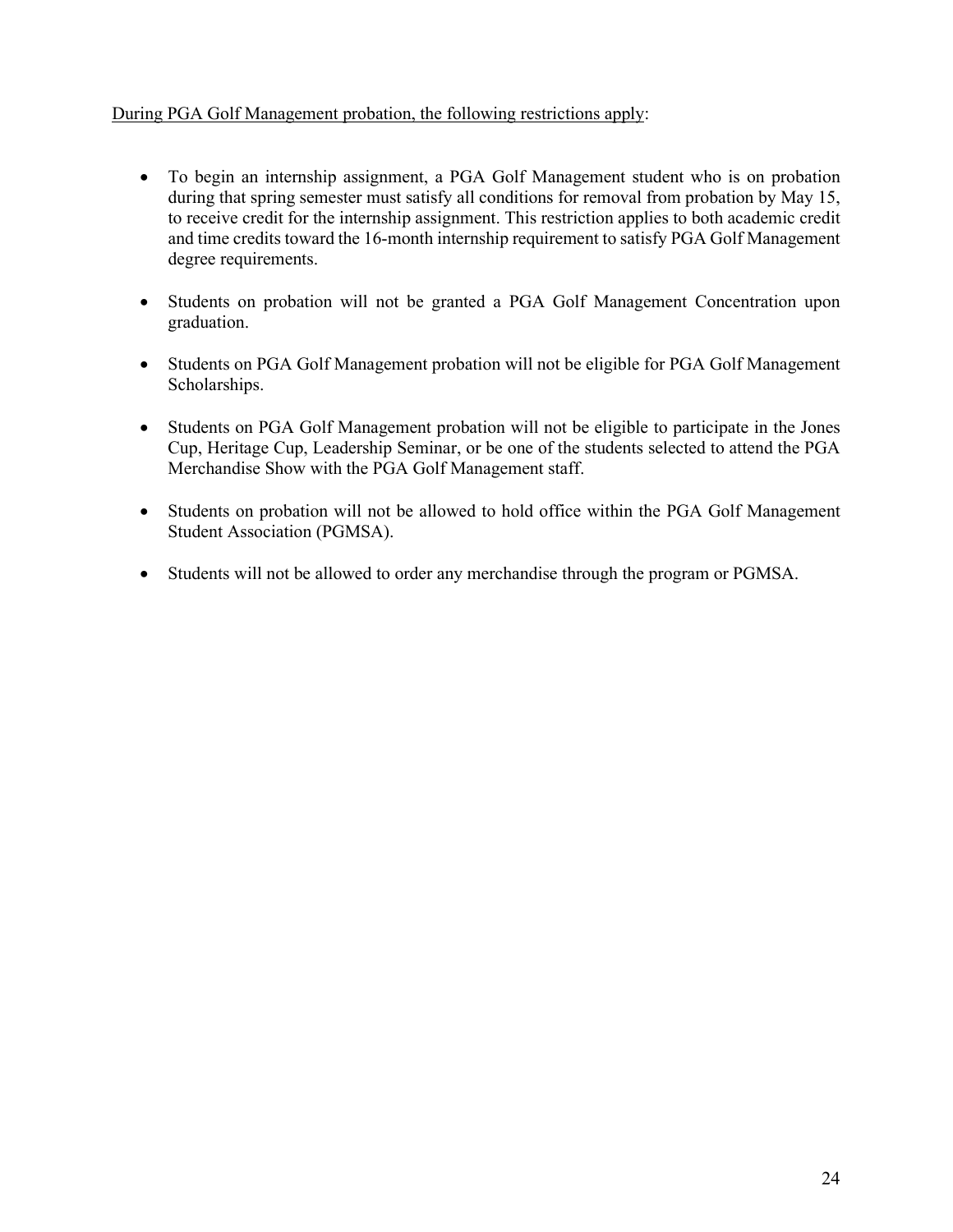#### During PGA Golf Management probation, the following restrictions apply:

- To begin an internship assignment, a PGA Golf Management student who is on probation during that spring semester must satisfy all conditions for removal from probation by May 15, to receive credit for the internship assignment. This restriction applies to both academic credit and time credits toward the 16-month internship requirement to satisfy PGA Golf Management degree requirements.
- Students on probation will not be granted a PGA Golf Management Concentration upon graduation.
- Students on PGA Golf Management probation will not be eligible for PGA Golf Management Scholarships.
- Students on PGA Golf Management probation will not be eligible to participate in the Jones Cup, Heritage Cup, Leadership Seminar, or be one of the students selected to attend the PGA Merchandise Show with the PGA Golf Management staff.
- Students on probation will not be allowed to hold office within the PGA Golf Management Student Association (PGMSA).
- Students will not be allowed to order any merchandise through the program or PGMSA.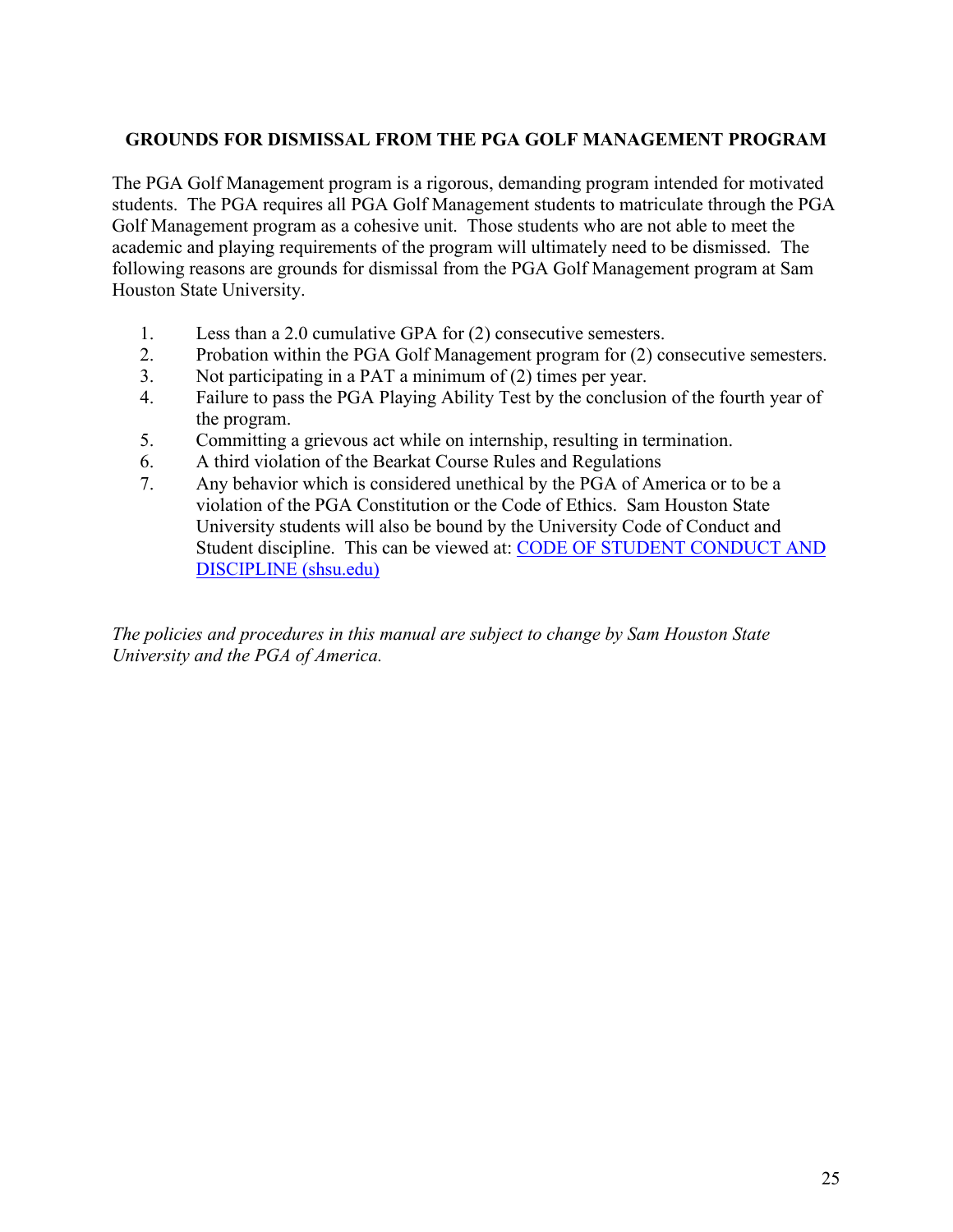#### **GROUNDS FOR DISMISSAL FROM THE PGA GOLF MANAGEMENT PROGRAM**

The PGA Golf Management program is a rigorous, demanding program intended for motivated students. The PGA requires all PGA Golf Management students to matriculate through the PGA Golf Management program as a cohesive unit. Those students who are not able to meet the academic and playing requirements of the program will ultimately need to be dismissed. The following reasons are grounds for dismissal from the PGA Golf Management program at Sam Houston State University.

- 1. Less than a 2.0 cumulative GPA for (2) consecutive semesters.
- 2. Probation within the PGA Golf Management program for (2) consecutive semesters.
- 3. Not participating in a PAT a minimum of (2) times per year.
- 4. Failure to pass the PGA Playing Ability Test by the conclusion of the fourth year of the program.
- 5. Committing a grievous act while on internship, resulting in termination.
- 6. A third violation of the Bearkat Course Rules and Regulations
- 7. Any behavior which is considered unethical by the PGA of America or to be a violation of the PGA Constitution or the Code of Ethics. Sam Houston State University students will also be bound by the University Code of Conduct and Student discipline. This can be viewed at: [CODE OF STUDENT CONDUCT AND](https://www.shsu.edu/dept/dean-of-students/guidelines/student-conduct)  [DISCIPLINE \(shsu.edu\)](https://www.shsu.edu/dept/dean-of-students/guidelines/student-conduct)

*The policies and procedures in this manual are subject to change by Sam Houston State University and the PGA of America.*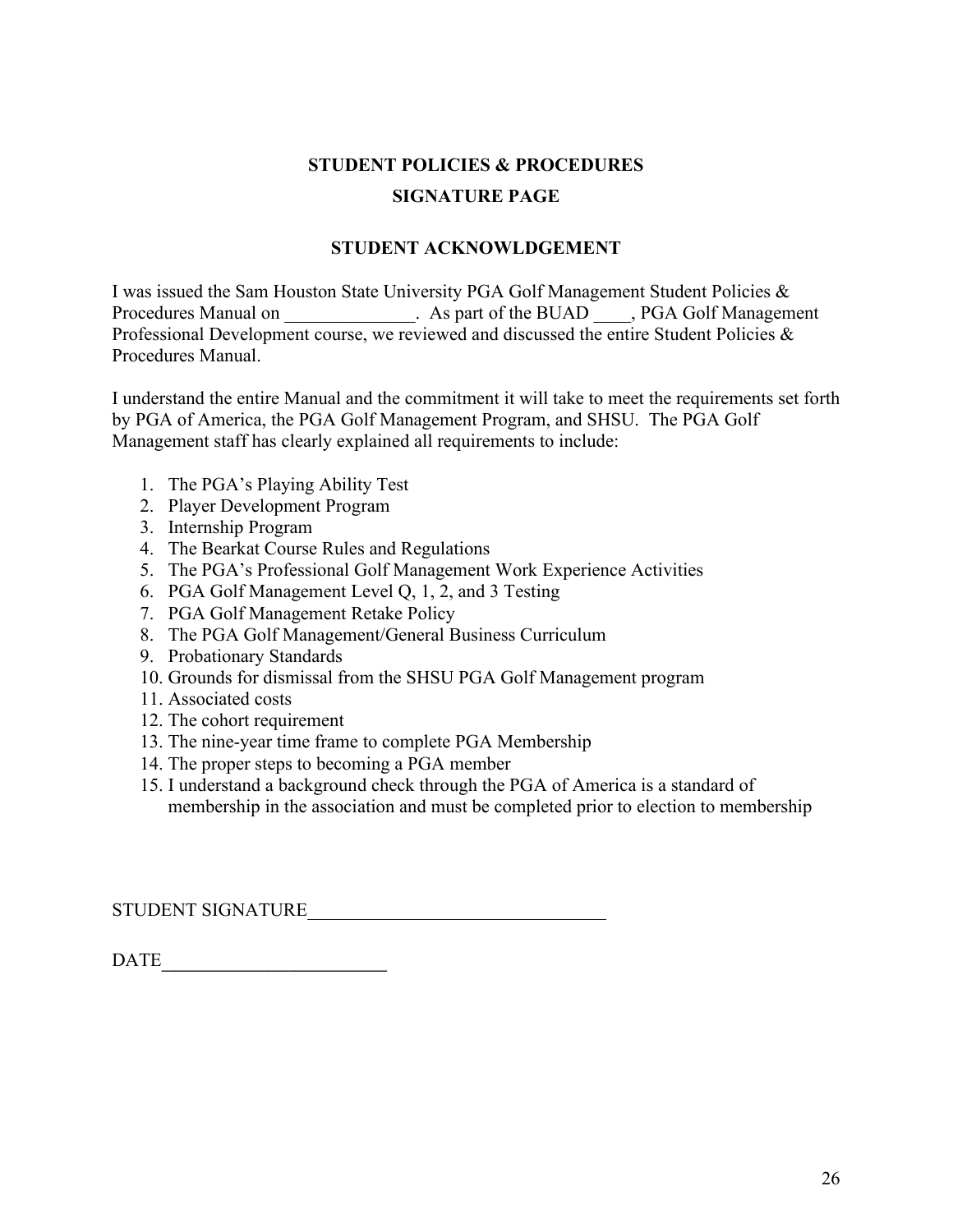# **STUDENT POLICIES & PROCEDURES SIGNATURE PAGE**

#### **STUDENT ACKNOWLDGEMENT**

I was issued the Sam Houston State University PGA Golf Management Student Policies & Procedures Manual on The As part of the BUAD, PGA Golf Management Professional Development course, we reviewed and discussed the entire Student Policies & Procedures Manual.

I understand the entire Manual and the commitment it will take to meet the requirements set forth by PGA of America, the PGA Golf Management Program, and SHSU. The PGA Golf Management staff has clearly explained all requirements to include:

- 1. The PGA's Playing Ability Test
- 2. Player Development Program
- 3. Internship Program
- 4. The Bearkat Course Rules and Regulations
- 5. The PGA's Professional Golf Management Work Experience Activities
- 6. PGA Golf Management Level Q, 1, 2, and 3 Testing
- 7. PGA Golf Management Retake Policy
- 8. The PGA Golf Management/General Business Curriculum
- 9. Probationary Standards
- 10. Grounds for dismissal from the SHSU PGA Golf Management program
- 11. Associated costs
- 12. The cohort requirement
- 13. The nine-year time frame to complete PGA Membership
- 14. The proper steps to becoming a PGA member
- 15. I understand a background check through the PGA of America is a standard of membership in the association and must be completed prior to election to membership

#### STUDENT SIGNATURE

DATE\_\_\_\_\_\_\_\_\_\_\_\_\_\_\_\_\_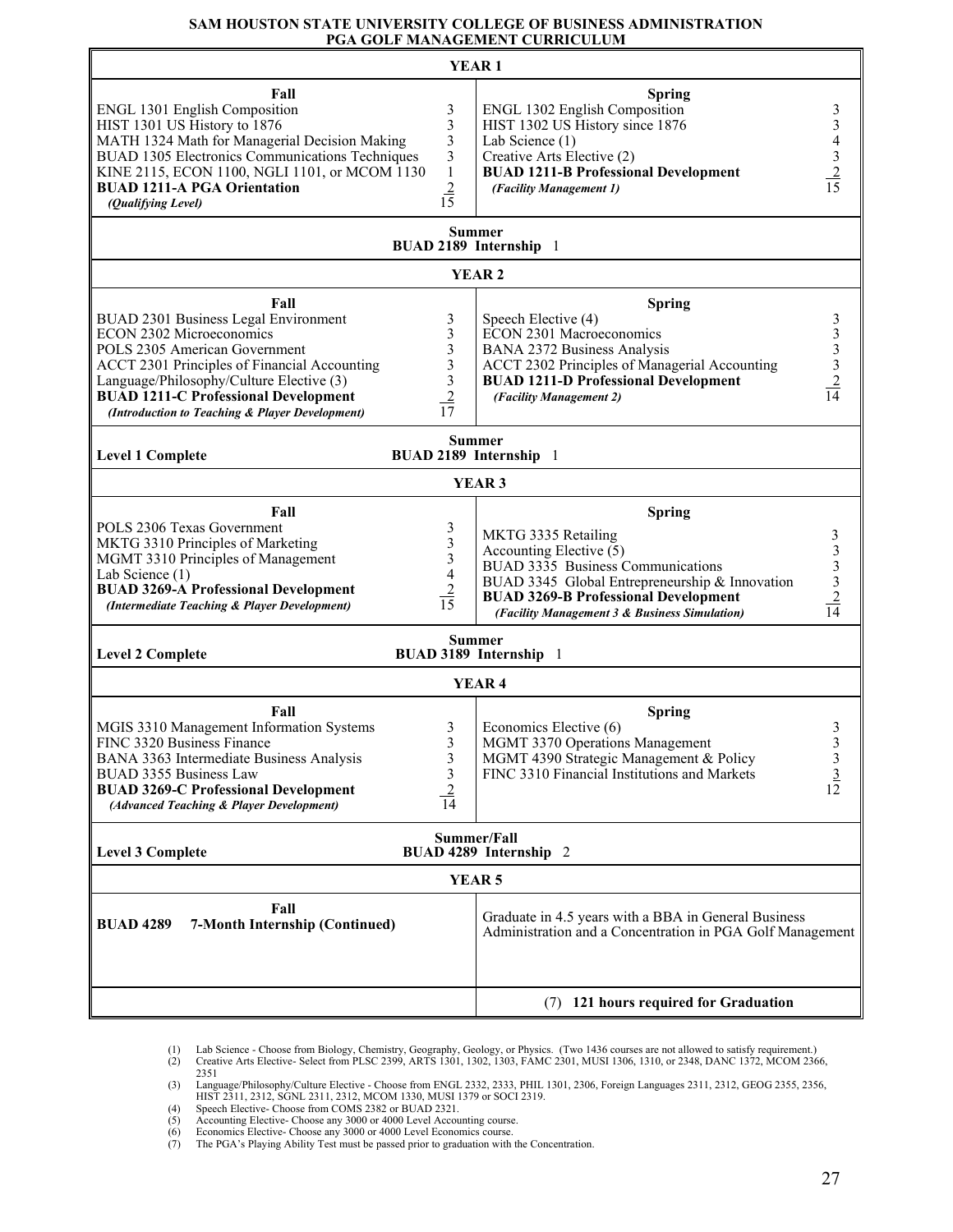#### **SAM HOUSTON STATE UNIVERSITY COLLEGE OF BUSINESS ADMINISTRATION PGA GOLF MANAGEMENT CURRICULUM**

|                                                                                                                                                                                                                                                                                                                                                           | FGA GOLF MANAGEMENT CUKKICULUM                                                                                                                                                                                                                                                                                                                        |  |  |
|-----------------------------------------------------------------------------------------------------------------------------------------------------------------------------------------------------------------------------------------------------------------------------------------------------------------------------------------------------------|-------------------------------------------------------------------------------------------------------------------------------------------------------------------------------------------------------------------------------------------------------------------------------------------------------------------------------------------------------|--|--|
|                                                                                                                                                                                                                                                                                                                                                           | YEAR <sub>1</sub>                                                                                                                                                                                                                                                                                                                                     |  |  |
| Fall<br>ENGL 1301 English Composition<br>3<br>3<br>HIST 1301 US History to 1876<br>MATH 1324 Math for Managerial Decision Making<br>3<br>BUAD 1305 Electronics Communications Techniques<br>3<br>KINE 2115, ECON 1100, NGLI 1101, or MCOM 1130<br>1<br>$\frac{2}{15}$<br><b>BUAD 1211-A PGA Orientation</b><br>(Qualifying Level)                         | <b>Spring</b><br>ENGL 1302 English Composition<br>3<br>HIST 1302 US History since 1876<br>$\begin{array}{r} 3 \\ 4 \\ 3 \\ \underline{2} \\ 15 \end{array}$<br>Lab Science (1)<br>Creative Arts Elective (2)<br><b>BUAD 1211-B Professional Development</b><br>(Facility Management 1)                                                                |  |  |
| Summer<br>BUAD 2189 Internship 1                                                                                                                                                                                                                                                                                                                          |                                                                                                                                                                                                                                                                                                                                                       |  |  |
|                                                                                                                                                                                                                                                                                                                                                           | YEAR <sub>2</sub>                                                                                                                                                                                                                                                                                                                                     |  |  |
| Fall<br>BUAD 2301 Business Legal Environment<br>3<br>ECON 2302 Microeconomics<br>3<br>3<br>POLS 2305 American Government<br>3<br><b>ACCT 2301 Principles of Financial Accounting</b><br>3<br>Language/Philosophy/Culture Elective (3)<br>$\frac{2}{17}$<br><b>BUAD 1211-C Professional Development</b><br>(Introduction to Teaching & Player Development) | <b>Spring</b><br>$\frac{3}{3}$<br>$\frac{3}{3}$<br>$\frac{2}{14}$<br>Speech Elective (4)<br>ECON 2301 Macroeconomics<br><b>BANA 2372 Business Analysis</b><br>ACCT 2302 Principles of Managerial Accounting<br><b>BUAD 1211-D Professional Development</b><br>(Facility Management 2)                                                                 |  |  |
| <b>Summer</b><br><b>Level 1 Complete</b><br>BUAD 2189 Internship 1                                                                                                                                                                                                                                                                                        |                                                                                                                                                                                                                                                                                                                                                       |  |  |
|                                                                                                                                                                                                                                                                                                                                                           | YEAR <sub>3</sub>                                                                                                                                                                                                                                                                                                                                     |  |  |
| Fall<br>POLS 2306 Texas Government<br>3<br>3<br>MKTG 3310 Principles of Marketing<br>3<br>MGMT 3310 Principles of Management<br>$\frac{4}{15}$<br>Lab Science (1)<br><b>BUAD 3269-A Professional Development</b><br>(Intermediate Teaching & Player Development)                                                                                          | <b>Spring</b><br>MKTG 3335 Retailing<br>$\mathfrak{Z}$<br>$\begin{array}{c}\n3 \\ 3 \\ 3 \\ \hline\n2 \\ \hline\n14\n\end{array}$<br>Accounting Elective $(5)$<br>BUAD 3335 Business Communications<br>BUAD 3345 Global Entrepreneurship & Innovation<br><b>BUAD 3269-B Professional Development</b><br>(Facility Management 3 & Business Simulation) |  |  |
| <b>Level 2 Complete</b>                                                                                                                                                                                                                                                                                                                                   | <b>Summer</b><br>BUAD 3189 Internship 1                                                                                                                                                                                                                                                                                                               |  |  |
|                                                                                                                                                                                                                                                                                                                                                           | YEAR <sub>4</sub>                                                                                                                                                                                                                                                                                                                                     |  |  |
| Fall<br>MGIS 3310 Management Information Systems<br>3<br>FINC 3320 Business Finance<br>3<br>3<br>BANA 3363 Intermediate Business Analysis<br>BUAD 3355 Business Law<br>3<br>$\frac{2}{14}$<br><b>BUAD 3269-C Professional Development</b><br>(Advanced Teaching & Player Development)                                                                     | Spring<br>Economics Elective (6)<br>3<br>MGMT 3370 Operations Management<br>3<br>$\frac{3}{12}$<br>MGMT 4390 Strategic Management & Policy<br>FINC 3310 Financial Institutions and Markets                                                                                                                                                            |  |  |
| Summer/Fall<br>BUAD 4289 Internship 2<br><b>Level 3 Complete</b>                                                                                                                                                                                                                                                                                          |                                                                                                                                                                                                                                                                                                                                                       |  |  |
|                                                                                                                                                                                                                                                                                                                                                           | YEAR <sub>5</sub>                                                                                                                                                                                                                                                                                                                                     |  |  |
| Fall<br><b>BUAD 4289</b><br>7-Month Internship (Continued)                                                                                                                                                                                                                                                                                                | Graduate in 4.5 years with a BBA in General Business<br>Administration and a Concentration in PGA Golf Management                                                                                                                                                                                                                                     |  |  |
|                                                                                                                                                                                                                                                                                                                                                           | 121 hours required for Graduation<br>(7)                                                                                                                                                                                                                                                                                                              |  |  |

(1) Lab Science - Choose from Biology, Chemistry, Geography, Geology, or Physics. (Two 1436 courses are not allowed to satisfy requirement.)<br>(2) Creative Arts Elective- Select from PLSC 2399, ARTS 1301, 1302, 1303, FAMC 23

(3) Language/Philosophy/Culture Elective - Choose from ENGL 2332, 2333, PHIL 1301, 2306, Foreign Languages 2311, 2312, GEOG 2355, 2356, HIST 2311, 2312, SGNL 2311, 2312, MCOM 1330, MUSI 1379 or SOCI 2319.

(4) Speech Elective- Choose from COMS 2382 or BUAD 2321.

(5) Accounting Elective- Choose any 3000 or 4000 Level Accounting course. (6) Economics Elective- Choose any 3000 or 4000 Level Economics course.

(7) The PGA's Playing Ability Test must be passed prior to graduation with the Concentration.